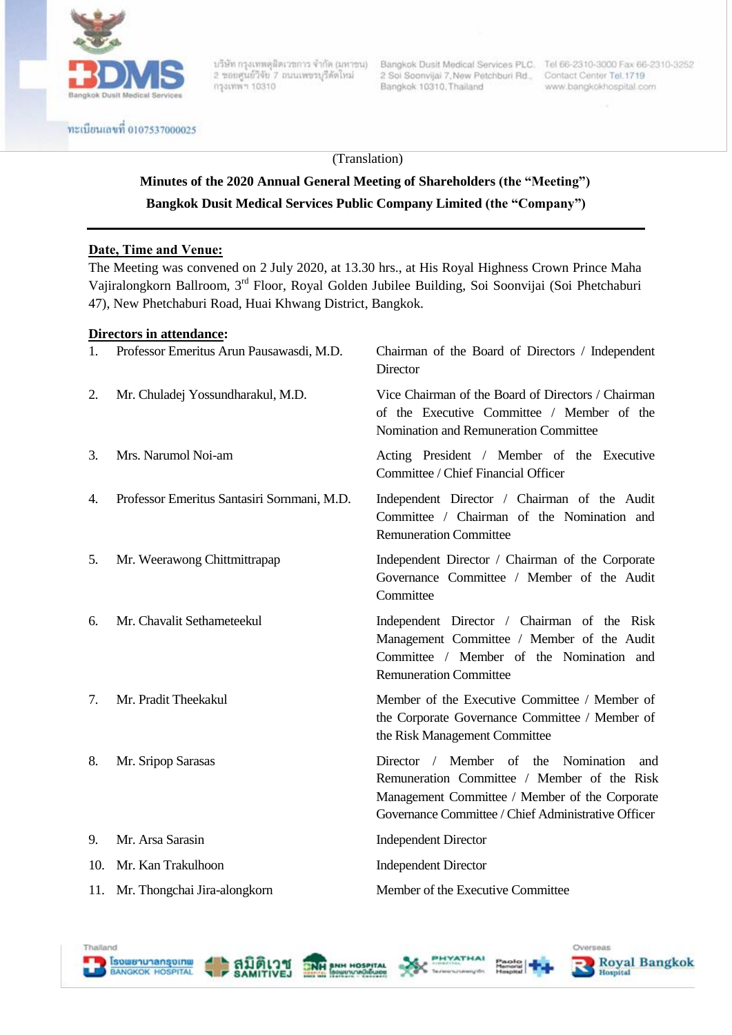

กรุงเทพ ฯ 10310

บริษัท กรุงเทพดุสิตเวชการ จำกัด (มหาชน) Bangkok Dusit Medical Services PLC. Tel 66-2310-3000 Fax 66-2310-3252<br>2 ชอยศูนย์วิจัย 7 ถนนเพชรบุรีตัดใหม่ 2 Soi Soonvijai 7,New Petchburi Rd., Contact Center Tel 1719 Bangkok 10310, Thailand

www.bangkokhospital.com

ทะเบียนเลขที่ 0107537000025

#### (Translation)

# **Minutes of the 2020 Annual General Meeting of Shareholders (the "Meeting") Bangkok Dusit Medical Services Public Company Limited (the "Company")**

#### **Date, Time and Venue:**

The Meeting was convened on 2 July 2020, at 13.30 hrs., at His Royal Highness Crown Prince Maha Vajiralongkorn Ballroom, 3rd Floor, Royal Golden Jubilee Building, Soi Soonvijai (Soi Phetchaburi 47), New Phetchaburi Road, Huai Khwang District, Bangkok.

#### **Directors in attendance:**

| 1.  | Professor Emeritus Arun Pausawasdi, M.D.    | Chairman of the Board of Directors / Independent<br>Director                                                                                                                                          |
|-----|---------------------------------------------|-------------------------------------------------------------------------------------------------------------------------------------------------------------------------------------------------------|
| 2.  | Mr. Chuladej Yossundharakul, M.D.           | Vice Chairman of the Board of Directors / Chairman<br>of the Executive Committee / Member of the<br>Nomination and Remuneration Committee                                                             |
| 3.  | Mrs. Narumol Noi-am                         | Acting President / Member of the Executive<br>Committee / Chief Financial Officer                                                                                                                     |
| 4.  | Professor Emeritus Santasiri Sornmani, M.D. | Independent Director / Chairman of the Audit<br>Committee / Chairman of the Nomination and<br><b>Remuneration Committee</b>                                                                           |
| 5.  | Mr. Weerawong Chittmittrapap                | Independent Director / Chairman of the Corporate<br>Governance Committee / Member of the Audit<br>Committee                                                                                           |
| 6.  | Mr. Chavalit Sethameteekul                  | Independent Director / Chairman of the Risk<br>Management Committee / Member of the Audit<br>Committee / Member of the Nomination and<br><b>Remuneration Committee</b>                                |
| 7.  | Mr. Pradit Theekakul                        | Member of the Executive Committee / Member of<br>the Corporate Governance Committee / Member of<br>the Risk Management Committee                                                                      |
| 8.  | Mr. Sripop Sarasas                          | Director / Member of the<br>Nomination<br>and<br>Remuneration Committee / Member of the Risk<br>Management Committee / Member of the Corporate<br>Governance Committee / Chief Administrative Officer |
| 9.  | Mr. Arsa Sarasin                            | <b>Independent Director</b>                                                                                                                                                                           |
| 10. | Mr. Kan Trakulhoon                          | <b>Independent Director</b>                                                                                                                                                                           |
|     | 11. Mr. Thongchai Jira-alongkorn            | Member of the Executive Committee                                                                                                                                                                     |









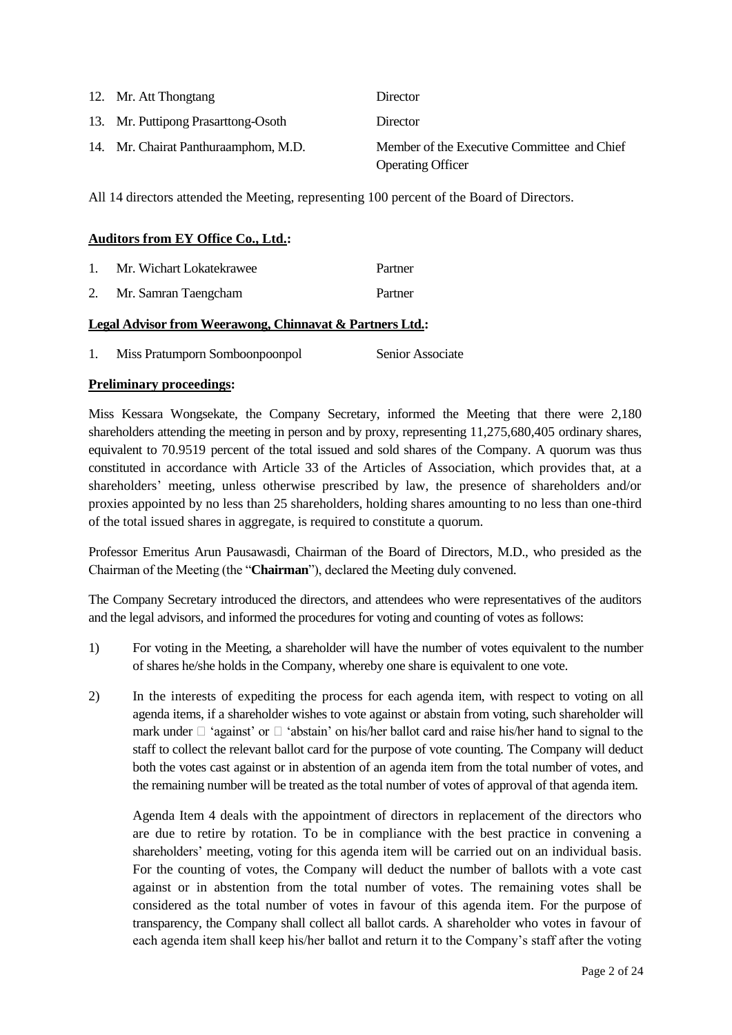| 12. Mr. Att Thongtang                | Director                                                                |
|--------------------------------------|-------------------------------------------------------------------------|
| 13. Mr. Puttipong Prasarttong-Osoth  | Director                                                                |
| 14. Mr. Chairat Panthuraamphom, M.D. | Member of the Executive Committee and Chief<br><b>Operating Officer</b> |

All 14 directors attended the Meeting, representing 100 percent of the Board of Directors.

#### **Auditors from EY Office Co., Ltd.:**

- 1. Mr. Wichart Lokatekrawee Partner
- 2. Mr. Samran Taengcham Partner

### **Legal Advisor from Weerawong, Chinnavat & Partners Ltd.:**

1. Miss Pratumporn Somboonpoonpol Senior Associate

### **Preliminary proceedings:**

Miss Kessara Wongsekate, the Company Secretary, informed the Meeting that there were 2,180 shareholders attending the meeting in person and by proxy, representing 11,275,680,405 ordinary shares, equivalent to 70.9519 percent of the total issued and sold shares of the Company. A quorum was thus constituted in accordance with Article 33 of the Articles of Association, which provides that, at a shareholders" meeting, unless otherwise prescribed by law, the presence of shareholders and/or proxies appointed by no less than 25 shareholders, holding shares amounting to no less than one-third of the total issued shares in aggregate, is required to constitute a quorum.

Professor Emeritus Arun Pausawasdi, Chairman of the Board of Directors, M.D., who presided as the Chairman of the Meeting (the "**Chairman**"), declared the Meeting duly convened.

The Company Secretary introduced the directors, and attendees who were representatives of the auditors and the legal advisors, and informed the procedures for voting and counting of votes as follows:

- 1) For voting in the Meeting, a shareholder will have the number of votes equivalent to the number of shares he/she holds in the Company, whereby one share is equivalent to one vote.
- 2) In the interests of expediting the process for each agenda item, with respect to voting on all agenda items, if a shareholder wishes to vote against or abstain from voting, such shareholder will mark under  $\Box$  'against' or  $\Box$  'abstain' on his/her ballot card and raise his/her hand to signal to the staff to collect the relevant ballot card for the purpose of vote counting. The Company will deduct both the votes cast against or in abstention of an agenda item from the total number of votes, and the remaining number will be treated as the total number of votes of approval of that agenda item.

Agenda Item 4 deals with the appointment of directors in replacement of the directors who are due to retire by rotation. To be in compliance with the best practice in convening a shareholders" meeting, voting for this agenda item will be carried out on an individual basis. For the counting of votes, the Company will deduct the number of ballots with a vote cast against or in abstention from the total number of votes. The remaining votes shall be considered as the total number of votes in favour of this agenda item. For the purpose of transparency, the Company shall collect all ballot cards. A shareholder who votes in favour of each agenda item shall keep his/her ballot and return it to the Company"s staff after the voting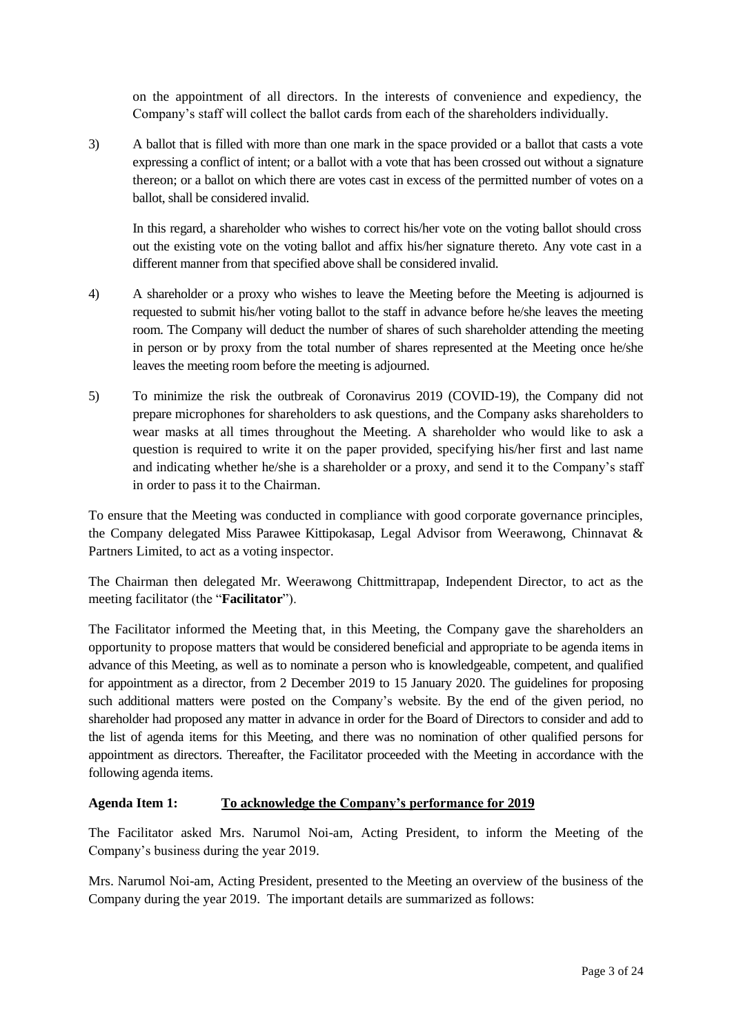on the appointment of all directors. In the interests of convenience and expediency, the Company"s staff will collect the ballot cards from each of the shareholders individually.

3) A ballot that is filled with more than one mark in the space provided or a ballot that casts a vote expressing a conflict of intent; or a ballot with a vote that has been crossed out without a signature thereon; or a ballot on which there are votes cast in excess of the permitted number of votes on a ballot, shall be considered invalid.

In this regard, a shareholder who wishes to correct his/her vote on the voting ballot should cross out the existing vote on the voting ballot and affix his/her signature thereto. Any vote cast in a different manner from that specified above shall be considered invalid.

- 4) A shareholder or a proxy who wishes to leave the Meeting before the Meeting is adjourned is requested to submit his/her voting ballot to the staff in advance before he/she leaves the meeting room. The Company will deduct the number of shares of such shareholder attending the meeting in person or by proxy from the total number of shares represented at the Meeting once he/she leaves the meeting room before the meeting is adjourned.
- 5) To minimize the risk the outbreak of Coronavirus 2019 (COVID-19), the Company did not prepare microphones for shareholders to ask questions, and the Company asks shareholders to wear masks at all times throughout the Meeting. A shareholder who would like to ask a question is required to write it on the paper provided, specifying his/her first and last name and indicating whether he/she is a shareholder or a proxy, and send it to the Company's staff in order to pass it to the Chairman.

To ensure that the Meeting was conducted in compliance with good corporate governance principles, the Company delegated Miss Parawee Kittipokasap, Legal Advisor from Weerawong, Chinnavat & Partners Limited, to act as a voting inspector.

The Chairman then delegated Mr. Weerawong Chittmittrapap, Independent Director, to act as the meeting facilitator (the "**Facilitator**").

The Facilitator informed the Meeting that, in this Meeting, the Company gave the shareholders an opportunity to propose matters that would be considered beneficial and appropriate to be agenda items in advance of this Meeting, as well as to nominate a person who is knowledgeable, competent, and qualified for appointment as a director, from 2 December 2019 to 15 January 2020. The guidelines for proposing such additional matters were posted on the Company"s website. By the end of the given period, no shareholder had proposed any matter in advance in order for the Board of Directors to consider and add to the list of agenda items for this Meeting, and there was no nomination of other qualified persons for appointment as directors. Thereafter, the Facilitator proceeded with the Meeting in accordance with the following agenda items.

## **Agenda Item 1: To acknowledge the Company's performance for 2019**

The Facilitator asked Mrs. Narumol Noi-am, Acting President, to inform the Meeting of the Company"s business during the year 2019.

Mrs. Narumol Noi-am, Acting President, presented to the Meeting an overview of the business of the Company during the year 2019. The important details are summarized as follows: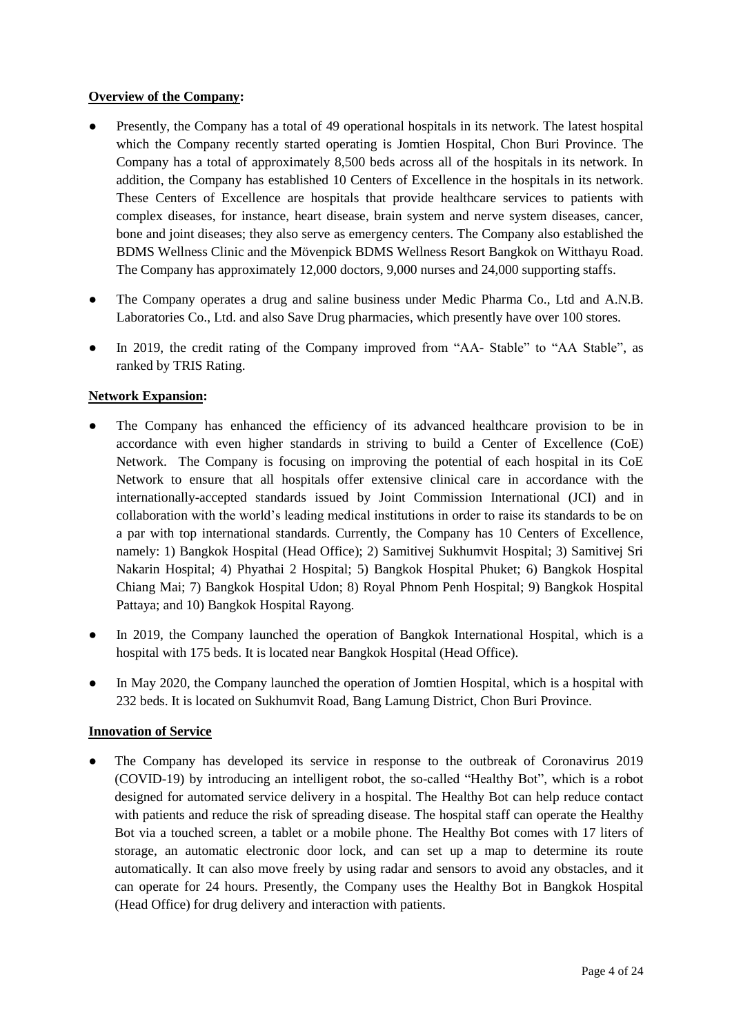### **Overview of the Company:**

- Presently, the Company has a total of 49 operational hospitals in its network. The latest hospital which the Company recently started operating is Jomtien Hospital, Chon Buri Province. The Company has a total of approximately 8,500 beds across all of the hospitals in its network. In addition, the Company has established 10 Centers of Excellence in the hospitals in its network. These Centers of Excellence are hospitals that provide healthcare services to patients with complex diseases, for instance, heart disease, brain system and nerve system diseases, cancer, bone and joint diseases; they also serve as emergency centers. The Company also established the BDMS Wellness Clinic and the Mövenpick BDMS Wellness Resort Bangkok on Witthayu Road. The Company has approximately 12,000 doctors, 9,000 nurses and 24,000 supporting staffs.
- The Company operates a drug and saline business under Medic Pharma Co., Ltd and A.N.B. Laboratories Co., Ltd. and also Save Drug pharmacies, which presently have over 100 stores.
- In 2019, the credit rating of the Company improved from "AA- Stable" to "AA Stable", as ranked by TRIS Rating.

### **Network Expansion:**

- The Company has enhanced the efficiency of its advanced healthcare provision to be in accordance with even higher standards in striving to build a Center of Excellence (CoE) Network. The Company is focusing on improving the potential of each hospital in its CoE Network to ensure that all hospitals offer extensive clinical care in accordance with the internationally-accepted standards issued by Joint Commission International (JCI) and in collaboration with the world"s leading medical institutions in order to raise its standards to be on a par with top international standards. Currently, the Company has 10 Centers of Excellence, namely: 1) Bangkok Hospital (Head Office); 2) Samitivej Sukhumvit Hospital; 3) Samitivej Sri Nakarin Hospital; 4) Phyathai 2 Hospital; 5) Bangkok Hospital Phuket; 6) Bangkok Hospital Chiang Mai; 7) Bangkok Hospital Udon; 8) Royal Phnom Penh Hospital; 9) Bangkok Hospital Pattaya; and 10) Bangkok Hospital Rayong.
- In 2019, the Company launched the operation of Bangkok International Hospital, which is a hospital with 175 beds. It is located near Bangkok Hospital (Head Office).
- In May 2020, the Company launched the operation of Jomtien Hospital, which is a hospital with 232 beds. It is located on Sukhumvit Road, Bang Lamung District, Chon Buri Province.

#### **Innovation of Service**

• The Company has developed its service in response to the outbreak of Coronavirus 2019 (COVID-19) by introducing an intelligent robot, the so-called "Healthy Bot", which is a robot designed for automated service delivery in a hospital. The Healthy Bot can help reduce contact with patients and reduce the risk of spreading disease. The hospital staff can operate the Healthy Bot via a touched screen, a tablet or a mobile phone. The Healthy Bot comes with 17 liters of storage, an automatic electronic door lock, and can set up a map to determine its route automatically. It can also move freely by using radar and sensors to avoid any obstacles, and it can operate for 24 hours. Presently, the Company uses the Healthy Bot in Bangkok Hospital (Head Office) for drug delivery and interaction with patients.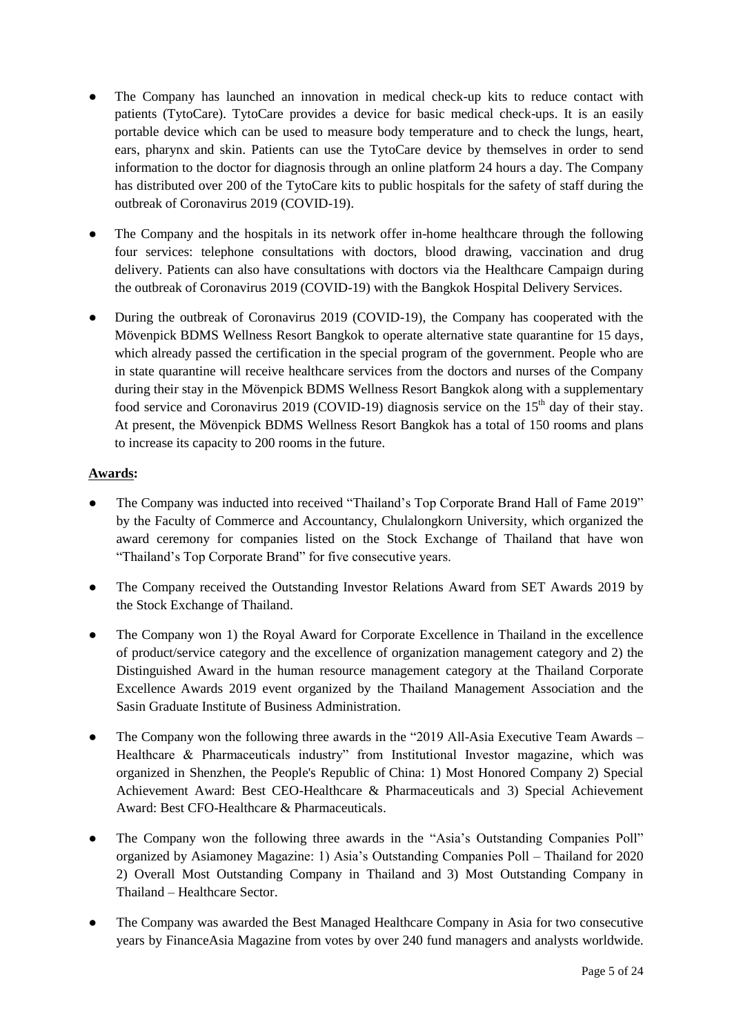- The Company has launched an innovation in medical check-up kits to reduce contact with patients (TytoCare). TytoCare provides a device for basic medical check-ups. It is an easily portable device which can be used to measure body temperature and to check the lungs, heart, ears, pharynx and skin. Patients can use the TytoCare device by themselves in order to send information to the doctor for diagnosis through an online platform 24 hours a day. The Company has distributed over 200 of the TytoCare kits to public hospitals for the safety of staff during the outbreak of Coronavirus 2019 (COVID-19).
- The Company and the hospitals in its network offer in-home healthcare through the following four services: telephone consultations with doctors, blood drawing, vaccination and drug delivery. Patients can also have consultations with doctors via the Healthcare Campaign during the outbreak of Coronavirus 2019 (COVID-19) with the Bangkok Hospital Delivery Services.
- During the outbreak of Coronavirus 2019 (COVID-19), the Company has cooperated with the Mövenpick BDMS Wellness Resort Bangkok to operate alternative state quarantine for 15 days, which already passed the certification in the special program of the government. People who are in state quarantine will receive healthcare services from the doctors and nurses of the Company during their stay in the Mövenpick BDMS Wellness Resort Bangkok along with a supplementary food service and Coronavirus 2019 (COVID-19) diagnosis service on the  $15<sup>th</sup>$  day of their stay. At present, the Mövenpick BDMS Wellness Resort Bangkok has a total of 150 rooms and plans to increase its capacity to 200 rooms in the future.

## **Awards:**

- The Company was inducted into received "Thailand's Top Corporate Brand Hall of Fame 2019" by the Faculty of Commerce and Accountancy, Chulalongkorn University, which organized the award ceremony for companies listed on the Stock Exchange of Thailand that have won "Thailand"s Top Corporate Brand" for five consecutive years.
- The Company received the Outstanding Investor Relations Award from SET Awards 2019 by the Stock Exchange of Thailand.
- The Company won 1) the Royal Award for Corporate Excellence in Thailand in the excellence of product/service category and the excellence of organization management category and 2) the Distinguished Award in the human resource management category at the Thailand Corporate Excellence Awards 2019 event organized by the Thailand Management Association and the Sasin Graduate Institute of Business Administration.
- The Company won the following three awards in the "2019 All-Asia Executive Team Awards Healthcare & Pharmaceuticals industry" from Institutional Investor magazine, which was organized in Shenzhen, the People's Republic of China: 1) Most Honored Company 2) Special Achievement Award: Best CEO-Healthcare & Pharmaceuticals and 3) Special Achievement Award: Best CFO-Healthcare & Pharmaceuticals.
- The Company won the following three awards in the "Asia's Outstanding Companies Poll" organized by Asiamoney Magazine: 1) Asia"s Outstanding Companies Poll – Thailand for 2020 2) Overall Most Outstanding Company in Thailand and 3) Most Outstanding Company in Thailand – Healthcare Sector.
- The Company was awarded the Best Managed Healthcare Company in Asia for two consecutive years by FinanceAsia Magazine from votes by over 240 fund managers and analysts worldwide.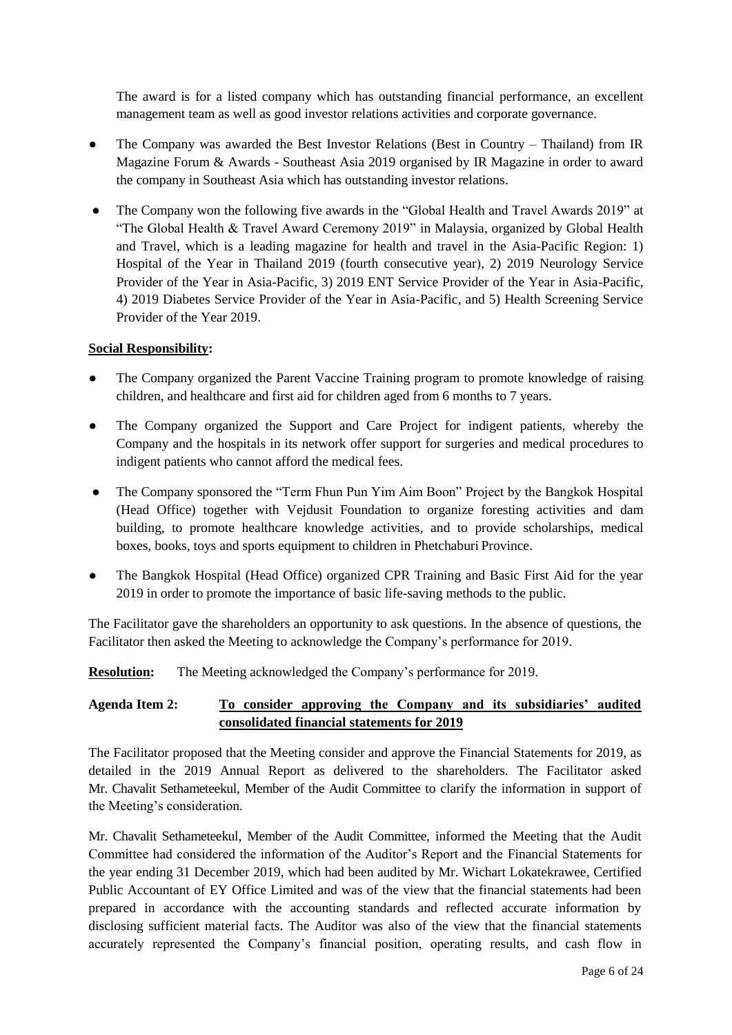The award is for a listed company which has outstanding financial performance, an excellent management team as well as good investor relations activities and corporate governance.

- The Company was awarded the Best Investor Relations (Best in Country Thailand) from IR Magazine Forum & Awards - Southeast Asia 2019 organised by IR Magazine in order to award the company in Southeast Asia which has outstanding investor relations.
- The Company won the following five awards in the "Global Health and Travel Awards 2019" at "The Global Health & Travel Award Ceremony 2019" in Malaysia, organized by Global Health and Travel, which is a leading magazine for health and travel in the Asia-Pacific Region: 1) Hospital of the Year in Thailand 2019 (fourth consecutive year), 2) 2019 Neurology Service Provider of the Year in Asia-Pacific, 3) 2019 ENT Service Provider of the Year in Asia-Pacific, 4) 2019 Diabetes Service Provider of the Year in Asia-Pacific, and 5) Health Screening Service Provider of the Year 2019.

### **Social Responsibility:**

- The Company organized the Parent Vaccine Training program to promote knowledge of raising children, and healthcare and first aid for children aged from 6 months to 7 years.
- The Company organized the Support and Care Project for indigent patients, whereby the Company and the hospitals in its network offer support for surgeries and medical procedures to indigent patients who cannot afford the medical fees.
- The Company sponsored the "Term Fhun Pun Yim Aim Boon" Project by the Bangkok Hospital (Head Office) together with Vejdusit Foundation to organize foresting activities and dam building, to promote healthcare knowledge activities, and to provide scholarships, medical boxes, books, toys and sports equipment to children in Phetchaburi Province.
- The Bangkok Hospital (Head Office) organized CPR Training and Basic First Aid for the year 2019 in order to promote the importance of basic life-saving methods to the public.

The Facilitator gave the shareholders an opportunity to ask questions. In the absence of questions, the Facilitator then asked the Meeting to acknowledge the Company"s performance for 2019.

**Resolution:** The Meeting acknowledged the Company's performance for 2019.

## **Agenda Item 2: To consider approving the Company and its subsidiaries' audited consolidated financial statements for 2019**

The Facilitator proposed that the Meeting consider and approve the Financial Statements for 2019, as detailed in the 2019 Annual Report as delivered to the shareholders. The Facilitator asked Mr. Chavalit Sethameteekul, Member of the Audit Committee to clarify the information in support of the Meeting"s consideration.

Mr. Chavalit Sethameteekul, Member of the Audit Committee, informed the Meeting that the Audit Committee had considered the information of the Auditor"s Report and the Financial Statements for the year ending 31 December 2019, which had been audited by Mr. Wichart Lokatekrawee, Certified Public Accountant of EY Office Limited and was of the view that the financial statements had been prepared in accordance with the accounting standards and reflected accurate information by disclosing sufficient material facts. The Auditor was also of the view that the financial statements accurately represented the Company"s financial position, operating results, and cash flow in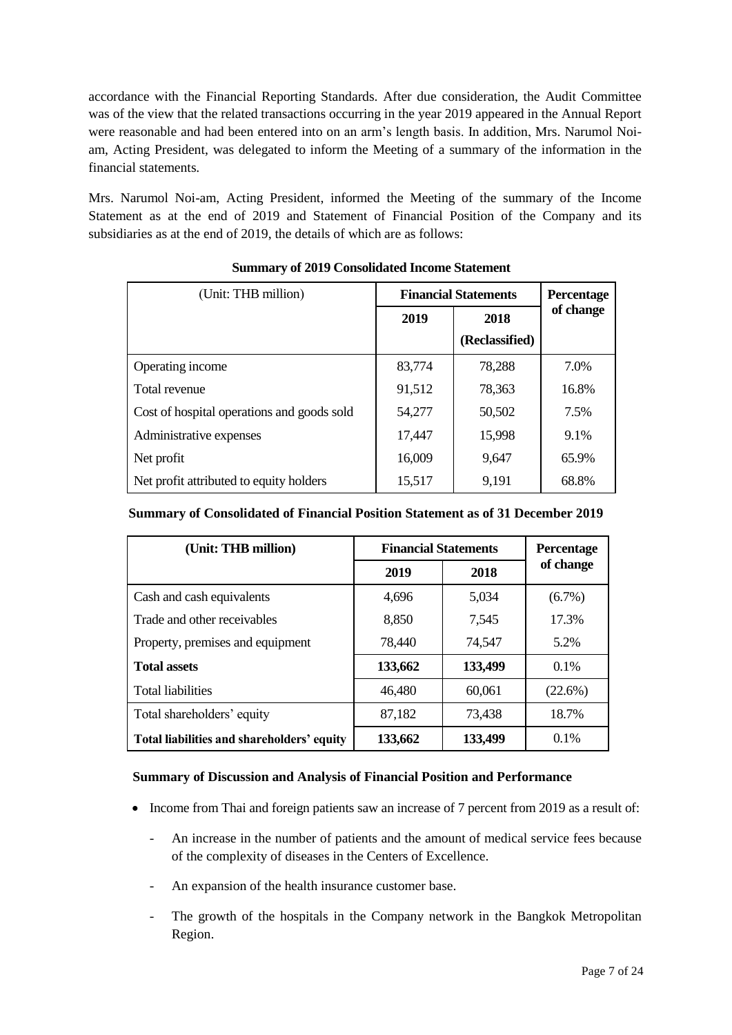accordance with the Financial Reporting Standards. After due consideration, the Audit Committee was of the view that the related transactions occurring in the year 2019 appeared in the Annual Report were reasonable and had been entered into on an arm"s length basis. In addition, Mrs. Narumol Noiam, Acting President, was delegated to inform the Meeting of a summary of the information in the financial statements.

Mrs. Narumol Noi-am, Acting President, informed the Meeting of the summary of the Income Statement as at the end of 2019 and Statement of Financial Position of the Company and its subsidiaries as at the end of 2019, the details of which are as follows:

| (Unit: THB million)                        | <b>Financial Statements</b> |                | Percentage |
|--------------------------------------------|-----------------------------|----------------|------------|
|                                            | 2019                        | 2018           | of change  |
|                                            |                             | (Reclassified) |            |
| Operating income                           | 83,774                      | 78,288         | 7.0%       |
| Total revenue                              | 91,512                      | 78,363         | 16.8%      |
| Cost of hospital operations and goods sold | 54,277                      | 50,502         | 7.5%       |
| Administrative expenses                    | 17,447                      | 15,998         | 9.1%       |
| Net profit                                 | 16,009                      | 9,647          | 65.9%      |
| Net profit attributed to equity holders    | 15,517                      | 9,191          | 68.8%      |

## **Summary of 2019 Consolidated Income Statement**

## **Summary of Consolidated of Financial Position Statement as of 31 December 2019**

| (Unit: THB million)                        | <b>Financial Statements</b> | <b>Percentage</b> |            |
|--------------------------------------------|-----------------------------|-------------------|------------|
|                                            | 2019                        | 2018              | of change  |
| Cash and cash equivalents                  | 4,696                       | 5,034             | $(6.7\%)$  |
| Trade and other receivables                | 8,850                       | 7,545             | 17.3%      |
| Property, premises and equipment           | 78,440                      | 74,547            | 5.2%       |
| <b>Total assets</b>                        | 133,662                     | 133,499           | 0.1%       |
| <b>Total liabilities</b>                   | 46,480                      | 60,061            | $(22.6\%)$ |
| Total shareholders' equity                 | 87,182                      | 73,438            | 18.7%      |
| Total liabilities and shareholders' equity | 133,662                     | 133,499           | 0.1%       |

## **Summary of Discussion and Analysis of Financial Position and Performance**

- Income from Thai and foreign patients saw an increase of 7 percent from 2019 as a result of:
	- An increase in the number of patients and the amount of medical service fees because of the complexity of diseases in the Centers of Excellence.
	- An expansion of the health insurance customer base.
	- The growth of the hospitals in the Company network in the Bangkok Metropolitan Region.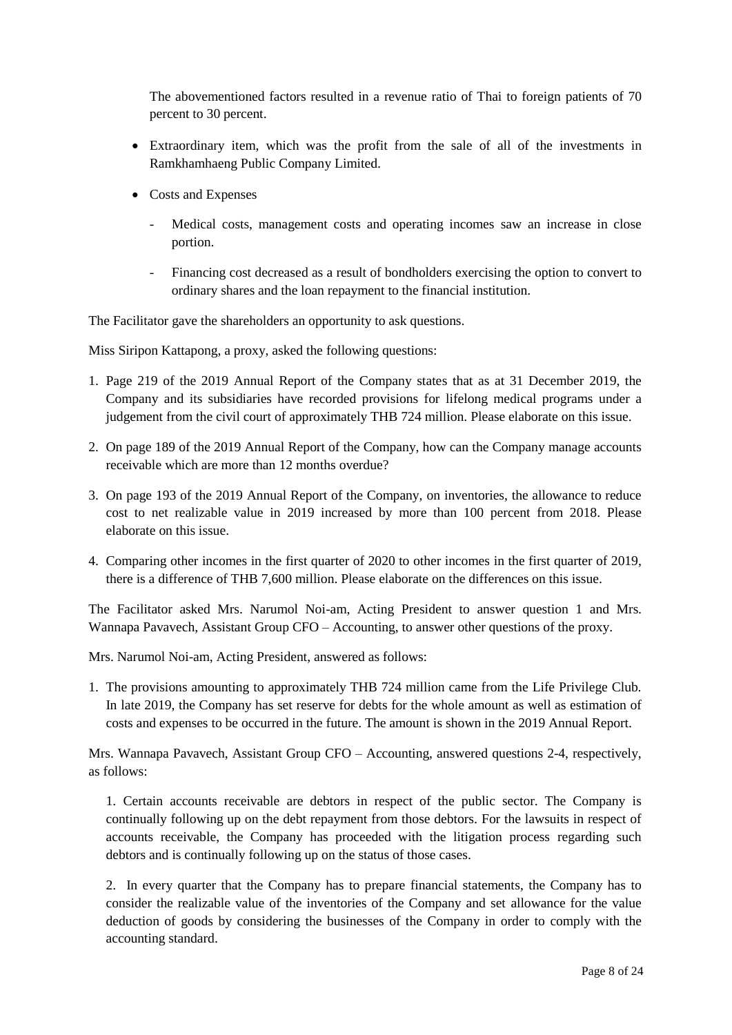The abovementioned factors resulted in a revenue ratio of Thai to foreign patients of 70 percent to 30 percent.

- Extraordinary item, which was the profit from the sale of all of the investments in Ramkhamhaeng Public Company Limited.
- Costs and Expenses
	- Medical costs, management costs and operating incomes saw an increase in close portion.
	- Financing cost decreased as a result of bondholders exercising the option to convert to ordinary shares and the loan repayment to the financial institution.

The Facilitator gave the shareholders an opportunity to ask questions.

Miss Siripon Kattapong, a proxy, asked the following questions:

- 1. Page 219 of the 2019 Annual Report of the Company states that as at 31 December 2019, the Company and its subsidiaries have recorded provisions for lifelong medical programs under a judgement from the civil court of approximately THB 724 million. Please elaborate on this issue.
- 2. On page 189 of the 2019 Annual Report of the Company, how can the Company manage accounts receivable which are more than 12 months overdue?
- 3. On page 193 of the 2019 Annual Report of the Company, on inventories, the allowance to reduce cost to net realizable value in 2019 increased by more than 100 percent from 2018. Please elaborate on this issue.
- 4. Comparing other incomes in the first quarter of 2020 to other incomes in the first quarter of 2019, there is a difference of THB 7,600 million. Please elaborate on the differences on this issue.

The Facilitator asked Mrs. Narumol Noi-am, Acting President to answer question 1 and Mrs. Wannapa Pavavech, Assistant Group CFO – Accounting, to answer other questions of the proxy.

Mrs. Narumol Noi-am, Acting President, answered as follows:

1. The provisions amounting to approximately THB 724 million came from the Life Privilege Club. In late 2019, the Company has set reserve for debts for the whole amount as well as estimation of costs and expenses to be occurred in the future. The amount is shown in the 2019 Annual Report.

Mrs. Wannapa Pavavech, Assistant Group CFO – Accounting, answered questions 2-4, respectively, as follows:

1. Certain accounts receivable are debtors in respect of the public sector. The Company is continually following up on the debt repayment from those debtors. For the lawsuits in respect of accounts receivable, the Company has proceeded with the litigation process regarding such debtors and is continually following up on the status of those cases.

2. In every quarter that the Company has to prepare financial statements, the Company has to consider the realizable value of the inventories of the Company and set allowance for the value deduction of goods by considering the businesses of the Company in order to comply with the accounting standard.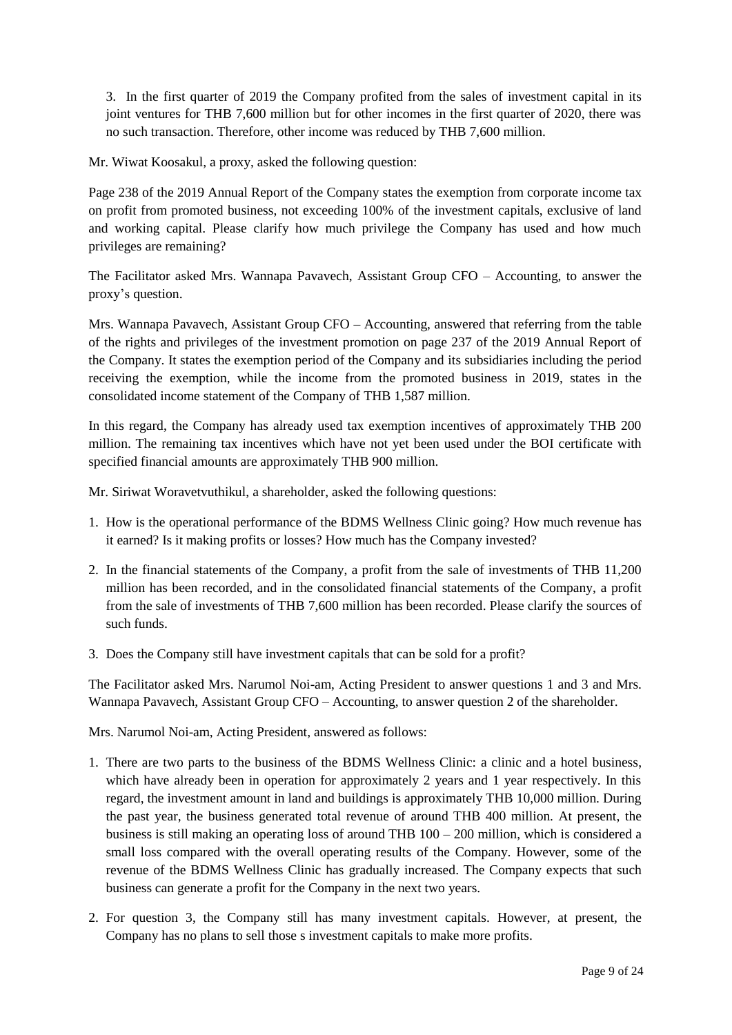3. In the first quarter of 2019 the Company profited from the sales of investment capital in its joint ventures for THB 7,600 million but for other incomes in the first quarter of 2020, there was no such transaction. Therefore, other income was reduced by THB 7,600 million.

Mr. Wiwat Koosakul, a proxy, asked the following question:

Page 238 of the 2019 Annual Report of the Company states the exemption from corporate income tax on profit from promoted business, not exceeding 100% of the investment capitals, exclusive of land and working capital. Please clarify how much privilege the Company has used and how much privileges are remaining?

The Facilitator asked Mrs. Wannapa Pavavech, Assistant Group CFO – Accounting, to answer the proxy"s question.

Mrs. Wannapa Pavavech, Assistant Group CFO – Accounting, answered that referring from the table of the rights and privileges of the investment promotion on page 237 of the 2019 Annual Report of the Company. It states the exemption period of the Company and its subsidiaries including the period receiving the exemption, while the income from the promoted business in 2019, states in the consolidated income statement of the Company of THB 1,587 million.

In this regard, the Company has already used tax exemption incentives of approximately THB 200 million. The remaining tax incentives which have not yet been used under the BOI certificate with specified financial amounts are approximately THB 900 million.

Mr. Siriwat Woravetvuthikul, a shareholder, asked the following questions:

- 1. How is the operational performance of the BDMS Wellness Clinic going? How much revenue has it earned? Is it making profits or losses? How much has the Company invested?
- 2. In the financial statements of the Company, a profit from the sale of investments of THB 11,200 million has been recorded, and in the consolidated financial statements of the Company, a profit from the sale of investments of THB 7,600 million has been recorded. Please clarify the sources of such funds.
- 3. Does the Company still have investment capitals that can be sold for a profit?

The Facilitator asked Mrs. Narumol Noi-am, Acting President to answer questions 1 and 3 and Mrs. Wannapa Pavavech, Assistant Group CFO – Accounting, to answer question 2 of the shareholder.

Mrs. Narumol Noi-am, Acting President, answered as follows:

- 1. There are two parts to the business of the BDMS Wellness Clinic: a clinic and a hotel business, which have already been in operation for approximately 2 years and 1 year respectively. In this regard, the investment amount in land and buildings is approximately THB 10,000 million. During the past year, the business generated total revenue of around THB 400 million. At present, the business is still making an operating loss of around THB 100 – 200 million, which is considered a small loss compared with the overall operating results of the Company. However, some of the revenue of the BDMS Wellness Clinic has gradually increased. The Company expects that such business can generate a profit for the Company in the next two years.
- 2. For question 3, the Company still has many investment capitals. However, at present, the Company has no plans to sell those s investment capitals to make more profits.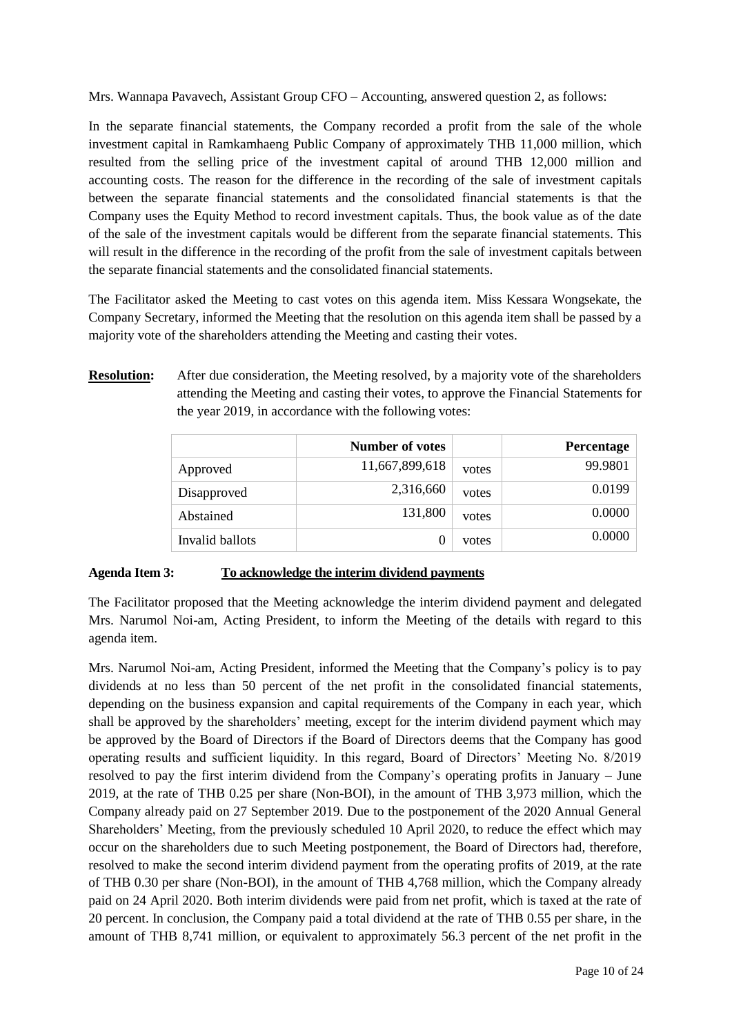Mrs. Wannapa Pavavech, Assistant Group CFO – Accounting, answered question 2, as follows:

In the separate financial statements, the Company recorded a profit from the sale of the whole investment capital in Ramkamhaeng Public Company of approximately THB 11,000 million, which resulted from the selling price of the investment capital of around THB 12,000 million and accounting costs. The reason for the difference in the recording of the sale of investment capitals between the separate financial statements and the consolidated financial statements is that the Company uses the Equity Method to record investment capitals. Thus, the book value as of the date of the sale of the investment capitals would be different from the separate financial statements. This will result in the difference in the recording of the profit from the sale of investment capitals between the separate financial statements and the consolidated financial statements.

The Facilitator asked the Meeting to cast votes on this agenda item. Miss Kessara Wongsekate, the Company Secretary, informed the Meeting that the resolution on this agenda item shall be passed by a majority vote of the shareholders attending the Meeting and casting their votes.

**Resolution:** After due consideration, the Meeting resolved, by a majority vote of the shareholders attending the Meeting and casting their votes, to approve the Financial Statements for the year 2019, in accordance with the following votes:

|                 | <b>Number of votes</b> |       | Percentage |
|-----------------|------------------------|-------|------------|
| Approved        | 11,667,899,618         | votes | 99.9801    |
| Disapproved     | 2,316,660              | votes | 0.0199     |
| Abstained       | 131,800                | votes | 0.0000     |
| Invalid ballots |                        | votes | 0.0000     |

#### **Agenda Item 3: To acknowledge the interim dividend payments**

The Facilitator proposed that the Meeting acknowledge the interim dividend payment and delegated Mrs. Narumol Noi-am, Acting President, to inform the Meeting of the details with regard to this agenda item.

Mrs. Narumol Noi-am, Acting President, informed the Meeting that the Company"s policy is to pay dividends at no less than 50 percent of the net profit in the consolidated financial statements, depending on the business expansion and capital requirements of the Company in each year, which shall be approved by the shareholders" meeting, except for the interim dividend payment which may be approved by the Board of Directors if the Board of Directors deems that the Company has good operating results and sufficient liquidity. In this regard, Board of Directors" Meeting No. 8/2019 resolved to pay the first interim dividend from the Company"s operating profits in January – June 2019, at the rate of THB 0.25 per share (Non-BOI), in the amount of THB 3,973 million, which the Company already paid on 27 September 2019. Due to the postponement of the 2020 Annual General Shareholders" Meeting, from the previously scheduled 10 April 2020, to reduce the effect which may occur on the shareholders due to such Meeting postponement, the Board of Directors had, therefore, resolved to make the second interim dividend payment from the operating profits of 2019, at the rate of THB 0.30 per share (Non-BOI), in the amount of THB 4,768 million, which the Company already paid on 24 April 2020. Both interim dividends were paid from net profit, which is taxed at the rate of 20 percent. In conclusion, the Company paid a total dividend at the rate of THB 0.55 per share, in the amount of THB 8,741 million, or equivalent to approximately 56.3 percent of the net profit in the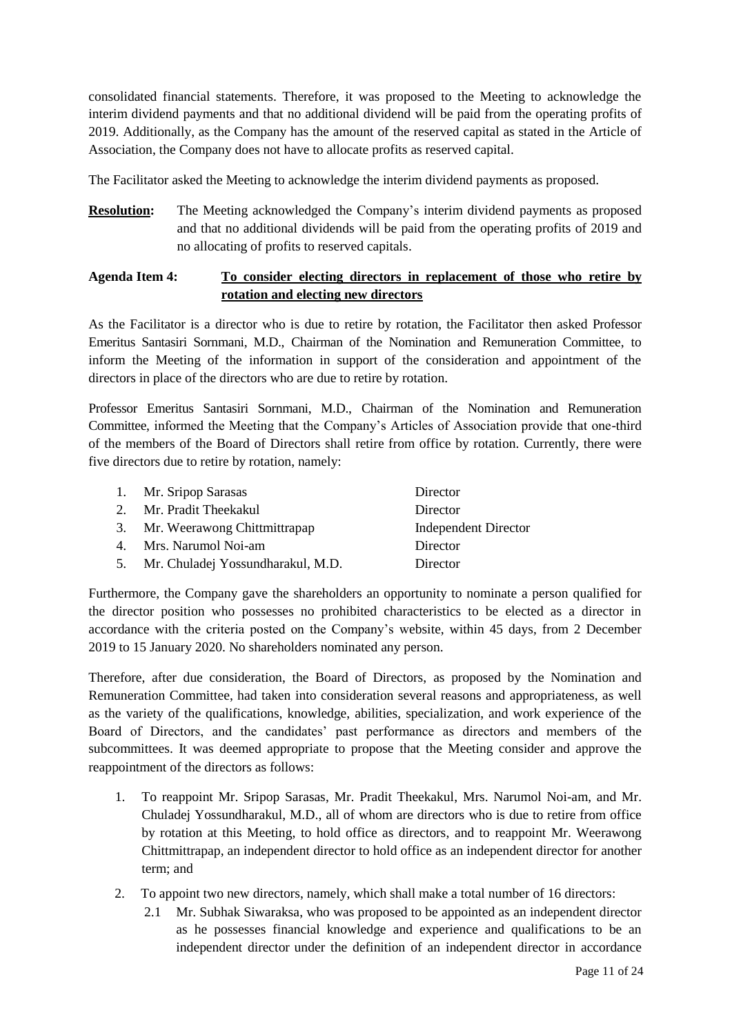consolidated financial statements. Therefore, it was proposed to the Meeting to acknowledge the interim dividend payments and that no additional dividend will be paid from the operating profits of 2019. Additionally, as the Company has the amount of the reserved capital as stated in the Article of Association, the Company does not have to allocate profits as reserved capital.

The Facilitator asked the Meeting to acknowledge the interim dividend payments as proposed.

**Resolution:** The Meeting acknowledged the Company's interim dividend payments as proposed and that no additional dividends will be paid from the operating profits of 2019 and no allocating of profits to reserved capitals.

## **Agenda Item 4: To consider electing directors in replacement of those who retire by rotation and electing new directors**

As the Facilitator is a director who is due to retire by rotation, the Facilitator then asked Professor Emeritus Santasiri Sornmani, M.D., Chairman of the Nomination and Remuneration Committee, to inform the Meeting of the information in support of the consideration and appointment of the directors in place of the directors who are due to retire by rotation.

Professor Emeritus Santasiri Sornmani, M.D., Chairman of the Nomination and Remuneration Committee, informed the Meeting that the Company"s Articles of Association provide that one-third of the members of the Board of Directors shall retire from office by rotation. Currently, there were five directors due to retire by rotation, namely:

| 1. Mr. Sripop Sarasas                | Director                    |
|--------------------------------------|-----------------------------|
| 2. Mr. Pradit Theekakul              | Director                    |
| 3. Mr. Weerawong Chittmittrapap      | <b>Independent Director</b> |
| 4. Mrs. Narumol Noi-am               | Director                    |
| 5. Mr. Chuladej Yossundharakul, M.D. | Director                    |
|                                      |                             |

Furthermore, the Company gave the shareholders an opportunity to nominate a person qualified for the director position who possesses no prohibited characteristics to be elected as a director in accordance with the criteria posted on the Company"s website, within 45 days, from 2 December 2019 to 15 January 2020. No shareholders nominated any person.

Therefore, after due consideration, the Board of Directors, as proposed by the Nomination and Remuneration Committee, had taken into consideration several reasons and appropriateness, as well as the variety of the qualifications, knowledge, abilities, specialization, and work experience of the Board of Directors, and the candidates' past performance as directors and members of the subcommittees. It was deemed appropriate to propose that the Meeting consider and approve the reappointment of the directors as follows:

- 1. To reappoint Mr. Sripop Sarasas, Mr. Pradit Theekakul, Mrs. Narumol Noi-am, and Mr. Chuladej Yossundharakul, M.D., all of whom are directors who is due to retire from office by rotation at this Meeting, to hold office as directors, and to reappoint Mr. Weerawong Chittmittrapap, an independent director to hold office as an independent director for another term; and
- 2. To appoint two new directors, namely, which shall make a total number of 16 directors:
	- 2.1 Mr. Subhak Siwaraksa, who was proposed to be appointed as an independent director as he possesses financial knowledge and experience and qualifications to be an independent director under the definition of an independent director in accordance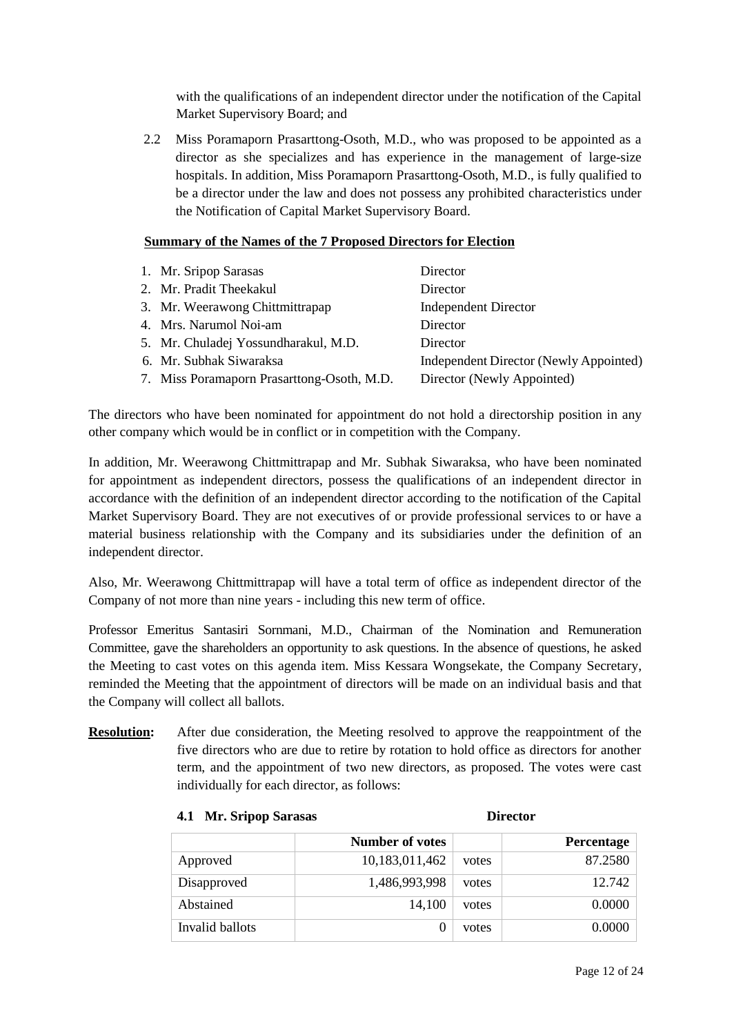with the qualifications of an independent director under the notification of the Capital Market Supervisory Board; and

2.2 Miss Poramaporn Prasarttong-Osoth, M.D., who was proposed to be appointed as a director as she specializes and has experience in the management of large-size hospitals. In addition, Miss Poramaporn Prasarttong-Osoth, M.D., is fully qualified to be a director under the law and does not possess any prohibited characteristics under the Notification of Capital Market Supervisory Board.

#### **Summary of the Names of the 7 Proposed Directors for Election**

| 1. Mr. Sripop Sarasas                      | Director                               |
|--------------------------------------------|----------------------------------------|
| 2. Mr. Pradit Theekakul                    | Director                               |
| 3. Mr. Weerawong Chittmittrapap            | <b>Independent Director</b>            |
| 4. Mrs. Narumol Noi-am                     | Director                               |
| 5. Mr. Chuladej Yossundharakul, M.D.       | Director                               |
| 6. Mr. Subhak Siwaraksa                    | Independent Director (Newly Appointed) |
| 7. Miss Poramaporn Prasarttong-Osoth, M.D. | Director (Newly Appointed)             |
|                                            |                                        |

The directors who have been nominated for appointment do not hold a directorship position in any other company which would be in conflict or in competition with the Company.

In addition, Mr. Weerawong Chittmittrapap and Mr. Subhak Siwaraksa, who have been nominated for appointment as independent directors, possess the qualifications of an independent director in accordance with the definition of an independent director according to the notification of the Capital Market Supervisory Board. They are not executives of or provide professional services to or have a material business relationship with the Company and its subsidiaries under the definition of an independent director.

Also, Mr. Weerawong Chittmittrapap will have a total term of office as independent director of the Company of not more than nine years - including this new term of office.

Professor Emeritus Santasiri Sornmani, M.D., Chairman of the Nomination and Remuneration Committee, gave the shareholders an opportunity to ask questions. In the absence of questions, he asked the Meeting to cast votes on this agenda item. Miss Kessara Wongsekate, the Company Secretary, reminded the Meeting that the appointment of directors will be made on an individual basis and that the Company will collect all ballots.

**Resolution:** After due consideration, the Meeting resolved to approve the reappointment of the five directors who are due to retire by rotation to hold office as directors for another term, and the appointment of two new directors, as proposed. The votes were cast individually for each director, as follows:

|                 | <b>Number of votes</b> |       | Percentage |
|-----------------|------------------------|-------|------------|
| Approved        | 10,183,011,462         | votes | 87.2580    |
| Disapproved     | 1,486,993,998          | votes | 12.742     |
| Abstained       | 14,100                 | votes | 0.0000     |
| Invalid ballots |                        | votes | 0.0000     |

#### **4.1 Mr. Sripop Sarasas Director**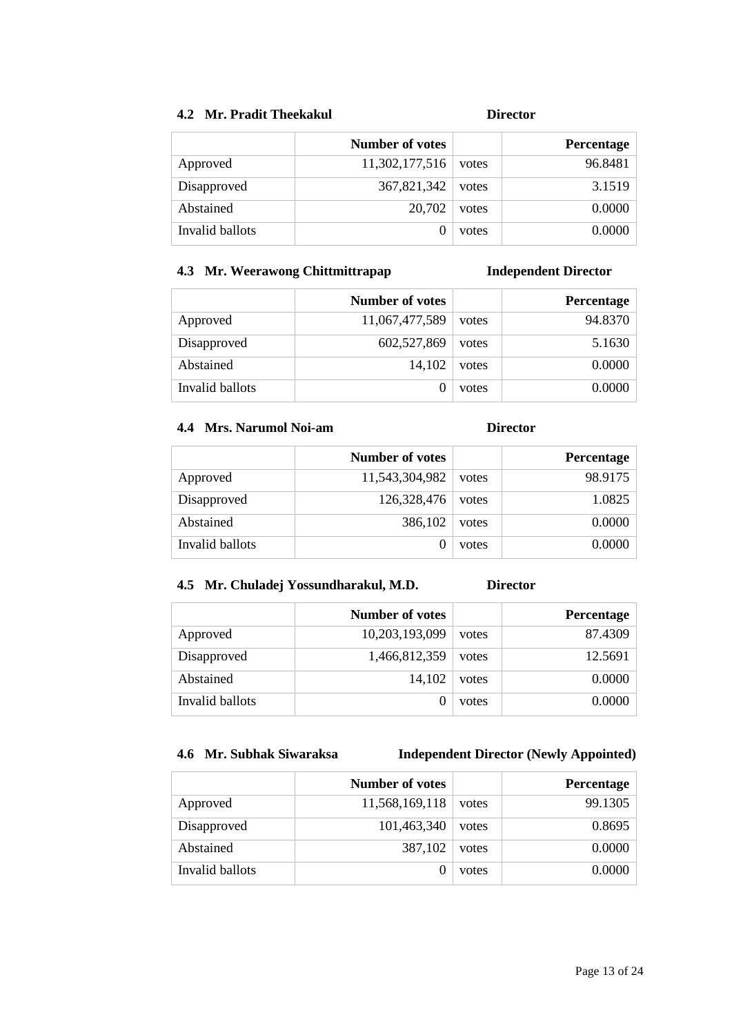## **4.2 Mr. Pradit Theekakul Director**

|                 | <b>Number of votes</b> |       | Percentage |
|-----------------|------------------------|-------|------------|
| Approved        | 11,302,177,516         | votes | 96.8481    |
| Disapproved     | 367,821,342            | votes | 3.1519     |
| Abstained       | 20,702                 | votes | 0.0000     |
| Invalid ballots |                        | votes | 0.0000     |

## **4.3 Mr. Weerawong Chittmittrapap Independent Director**

|                 | <b>Number of votes</b> |       | <b>Percentage</b> |
|-----------------|------------------------|-------|-------------------|
| Approved        | 11,067,477,589         | votes | 94.8370           |
| Disapproved     | 602,527,869            | votes | 5.1630            |
| Abstained       | 14,102                 | votes | 0.0000            |
| Invalid ballots |                        | votes | 0.0000            |

## **4.4 Mrs. Narumol Noi-am Director**

|                 | Number of votes |       | <b>Percentage</b> |
|-----------------|-----------------|-------|-------------------|
| Approved        | 11,543,304,982  | votes | 98.9175           |
| Disapproved     | 126,328,476     | votes | 1.0825            |
| Abstained       | 386,102         | votes | 0.0000            |
| Invalid ballots |                 | votes | 0.0000            |

## **4.5 Mr. Chuladej Yossundharakul, M.D. Director**

|                 | <b>Number of votes</b> |       | Percentage |
|-----------------|------------------------|-------|------------|
| Approved        | 10,203,193,099         | votes | 87.4309    |
| Disapproved     | 1,466,812,359          | votes | 12.5691    |
| Abstained       | 14,102                 | votes | 0.0000     |
| Invalid ballots |                        | votes | 0.0000     |

# **4.6 Mr. Subhak Siwaraksa Independent Director (Newly Appointed)**

|                 | Number of votes |       | Percentage |
|-----------------|-----------------|-------|------------|
| Approved        | 11,568,169,118  | votes | 99.1305    |
| Disapproved     | 101,463,340     | votes | 0.8695     |
| Abstained       | 387,102         | votes | 0.0000     |
| Invalid ballots |                 | votes | 0.0000     |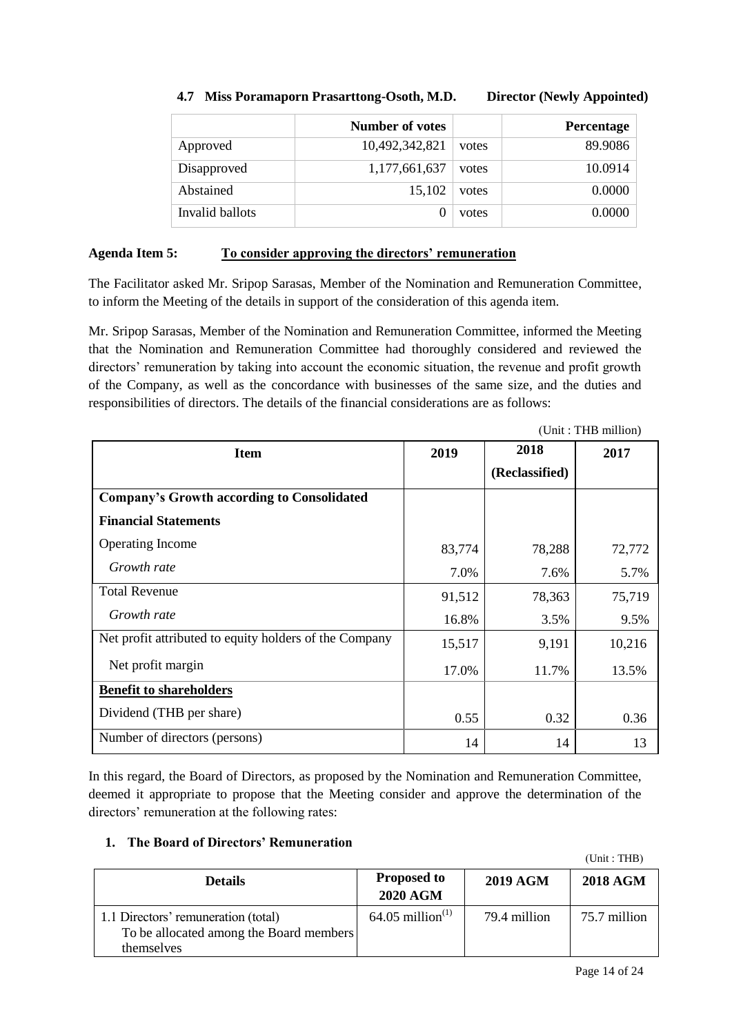|                 | Number of votes |       | Percentage |
|-----------------|-----------------|-------|------------|
| Approved        | 10,492,342,821  | votes | 89.9086    |
| Disapproved     | 1,177,661,637   | votes | 10.0914    |
| Abstained       | 15,102          | votes | 0.0000     |
| Invalid ballots | 0               | votes | 0.0000     |

## **4.7 Miss Poramaporn Prasarttong-Osoth, M.D. Director (Newly Appointed)**

### **Agenda Item 5: To consider approving the directors' remuneration**

The Facilitator asked Mr. Sripop Sarasas, Member of the Nomination and Remuneration Committee, to inform the Meeting of the details in support of the consideration of this agenda item.

Mr. Sripop Sarasas, Member of the Nomination and Remuneration Committee, informed the Meeting that the Nomination and Remuneration Committee had thoroughly considered and reviewed the directors' remuneration by taking into account the economic situation, the revenue and profit growth of the Company, as well as the concordance with businesses of the same size, and the duties and responsibilities of directors. The details of the financial considerations are as follows:

|                                                        |        |                | (Unit: THB million) |
|--------------------------------------------------------|--------|----------------|---------------------|
| <b>Item</b>                                            | 2019   | 2018           | 2017                |
|                                                        |        | (Reclassified) |                     |
| <b>Company's Growth according to Consolidated</b>      |        |                |                     |
| <b>Financial Statements</b>                            |        |                |                     |
| <b>Operating Income</b>                                | 83,774 | 78,288         | 72,772              |
| Growth rate                                            | 7.0%   | 7.6%           | 5.7%                |
| <b>Total Revenue</b>                                   | 91,512 | 78,363         | 75,719              |
| Growth rate                                            | 16.8%  | 3.5%           | 9.5%                |
| Net profit attributed to equity holders of the Company | 15,517 | 9,191          | 10,216              |
| Net profit margin                                      | 17.0%  | 11.7%          | 13.5%               |
| <b>Benefit to shareholders</b>                         |        |                |                     |
| Dividend (THB per share)                               | 0.55   | 0.32           | 0.36                |
| Number of directors (persons)                          | 14     | 14             | 13                  |

In this regard, the Board of Directors, as proposed by the Nomination and Remuneration Committee, deemed it appropriate to propose that the Meeting consider and approve the determination of the directors' remuneration at the following rates:

## **1. The Board of Directors' Remuneration**

| <b>Details</b>                                                                               | <b>Proposed to</b><br><b>2020 AGM</b> | <b>2019 AGM</b> | <b>2018 AGM</b> |
|----------------------------------------------------------------------------------------------|---------------------------------------|-----------------|-----------------|
| 1.1 Directors' remuneration (total)<br>To be allocated among the Board members<br>themselves | $64.05$ million <sup>(1)</sup>        | 79.4 million    | 75.7 million    |

(Unit : THB)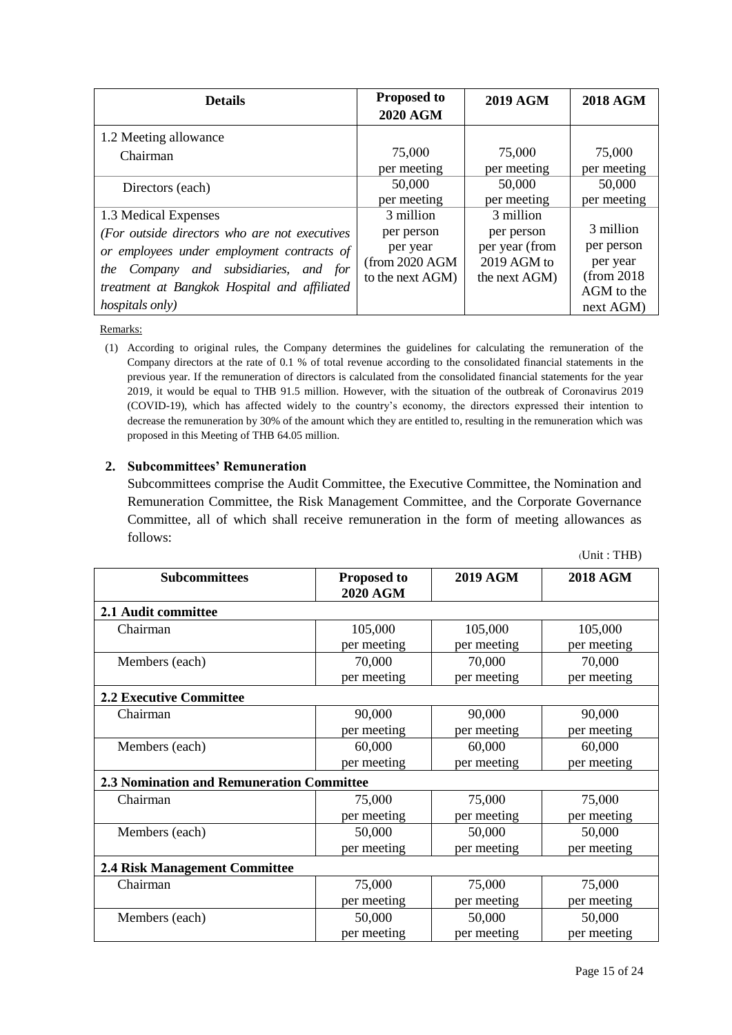| <b>Details</b>                                | <b>Proposed to</b><br><b>2020 AGM</b> | <b>2019 AGM</b> | <b>2018 AGM</b> |
|-----------------------------------------------|---------------------------------------|-----------------|-----------------|
| 1.2 Meeting allowance                         |                                       |                 |                 |
| Chairman                                      | 75,000                                | 75,000          | 75,000          |
|                                               | per meeting                           | per meeting     | per meeting     |
| Directors (each)                              | 50,000                                | 50,000          | 50,000          |
|                                               | per meeting                           | per meeting     | per meeting     |
| 1.3 Medical Expenses                          | 3 million                             | 3 million       |                 |
| (For outside directors who are not executives | per person                            | per person      | 3 million       |
| or employees under employment contracts of    | per year                              | per year (from  | per person      |
|                                               | (from 2020 AGM)                       | 2019 AGM to     | per year        |
| the Company and subsidiaries, and for         | to the next AGM)                      | the next AGM)   | (from 2018)     |
| treatment at Bangkok Hospital and affiliated  |                                       |                 | AGM to the      |
| <i>hospitals only</i> )                       |                                       |                 | next AGM)       |

Remarks:

(1) According to original rules, the Company determines the guidelines for calculating the remuneration of the Company directors at the rate of 0.1 % of total revenue according to the consolidated financial statements in the previous year. If the remuneration of directors is calculated from the consolidated financial statements for the year 2019, it would be equal to THB 91.5 million. However, with the situation of the outbreak of Coronavirus 2019 (COVID-19), which has affected widely to the country"s economy, the directors expressed their intention to decrease the remuneration by 30% of the amount which they are entitled to, resulting in the remuneration which was proposed in this Meeting of THB 64.05 million.

### **2. Subcommittees' Remuneration**

Subcommittees comprise the Audit Committee, the Executive Committee, the Nomination and Remuneration Committee, the Risk Management Committee, and the Corporate Governance Committee, all of which shall receive remuneration in the form of meeting allowances as follows:

|                                           |                                       |                 | (Unit : THB)    |
|-------------------------------------------|---------------------------------------|-----------------|-----------------|
| <b>Subcommittees</b>                      | <b>Proposed to</b><br><b>2020 AGM</b> | <b>2019 AGM</b> | <b>2018 AGM</b> |
| 2.1 Audit committee                       |                                       |                 |                 |
| Chairman                                  | 105,000                               | 105,000         | 105,000         |
|                                           | per meeting                           | per meeting     | per meeting     |
| Members (each)                            | 70,000                                | 70,000          | 70,000          |
|                                           | per meeting                           | per meeting     | per meeting     |
| <b>2.2 Executive Committee</b>            |                                       |                 |                 |
| Chairman                                  | 90,000                                | 90,000          | 90,000          |
|                                           | per meeting                           | per meeting     | per meeting     |
| Members (each)                            | 60,000                                | 60,000          | 60,000          |
|                                           | per meeting                           | per meeting     | per meeting     |
| 2.3 Nomination and Remuneration Committee |                                       |                 |                 |
| Chairman                                  | 75,000                                | 75,000          | 75,000          |
|                                           | per meeting                           | per meeting     | per meeting     |
| Members (each)                            | 50,000                                | 50,000          | 50,000          |
|                                           | per meeting                           | per meeting     | per meeting     |
| <b>2.4 Risk Management Committee</b>      |                                       |                 |                 |
| Chairman                                  | 75,000                                | 75,000          | 75,000          |
|                                           | per meeting                           | per meeting     | per meeting     |
| Members (each)                            | 50,000                                | 50,000          | 50,000          |
|                                           | per meeting                           | per meeting     | per meeting     |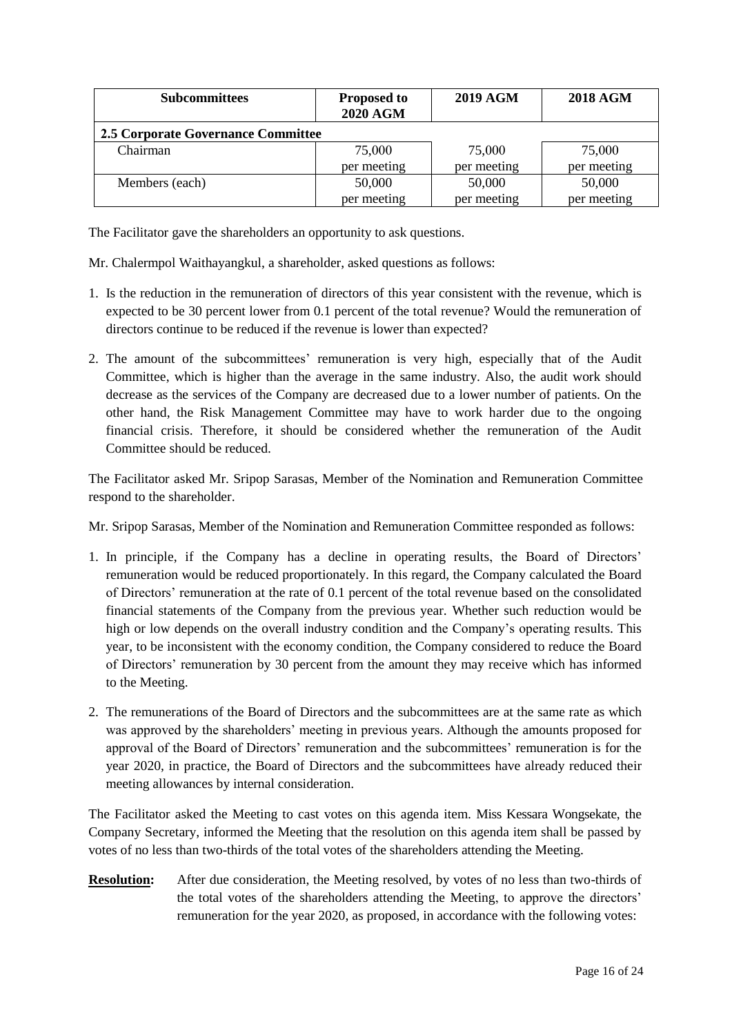| <b>Subcommittees</b>               | <b>Proposed to</b><br><b>2020 AGM</b> | <b>2019 AGM</b> | <b>2018 AGM</b> |
|------------------------------------|---------------------------------------|-----------------|-----------------|
| 2.5 Corporate Governance Committee |                                       |                 |                 |
| Chairman                           | 75,000                                | 75,000          | 75,000          |
|                                    | per meeting                           | per meeting     | per meeting     |
| Members (each)                     | 50,000                                | 50,000          | 50,000          |
|                                    | per meeting                           | per meeting     | per meeting     |

The Facilitator gave the shareholders an opportunity to ask questions.

Mr. Chalermpol Waithayangkul, a shareholder, asked questions as follows:

- 1. Is the reduction in the remuneration of directors of this year consistent with the revenue, which is expected to be 30 percent lower from 0.1 percent of the total revenue? Would the remuneration of directors continue to be reduced if the revenue is lower than expected?
- 2. The amount of the subcommittees" remuneration is very high, especially that of the Audit Committee, which is higher than the average in the same industry. Also, the audit work should decrease as the services of the Company are decreased due to a lower number of patients. On the other hand, the Risk Management Committee may have to work harder due to the ongoing financial crisis. Therefore, it should be considered whether the remuneration of the Audit Committee should be reduced.

The Facilitator asked Mr. Sripop Sarasas, Member of the Nomination and Remuneration Committee respond to the shareholder.

Mr. Sripop Sarasas, Member of the Nomination and Remuneration Committee responded as follows:

- 1. In principle, if the Company has a decline in operating results, the Board of Directors" remuneration would be reduced proportionately. In this regard, the Company calculated the Board of Directors" remuneration at the rate of 0.1 percent of the total revenue based on the consolidated financial statements of the Company from the previous year. Whether such reduction would be high or low depends on the overall industry condition and the Company"s operating results. This year, to be inconsistent with the economy condition, the Company considered to reduce the Board of Directors" remuneration by 30 percent from the amount they may receive which has informed to the Meeting.
- 2. The remunerations of the Board of Directors and the subcommittees are at the same rate as which was approved by the shareholders" meeting in previous years. Although the amounts proposed for approval of the Board of Directors" remuneration and the subcommittees" remuneration is for the year 2020, in practice, the Board of Directors and the subcommittees have already reduced their meeting allowances by internal consideration.

The Facilitator asked the Meeting to cast votes on this agenda item. Miss Kessara Wongsekate, the Company Secretary, informed the Meeting that the resolution on this agenda item shall be passed by votes of no less than two-thirds of the total votes of the shareholders attending the Meeting.

**Resolution:** After due consideration, the Meeting resolved, by votes of no less than two-thirds of the total votes of the shareholders attending the Meeting, to approve the directors" remuneration for the year 2020, as proposed, in accordance with the following votes: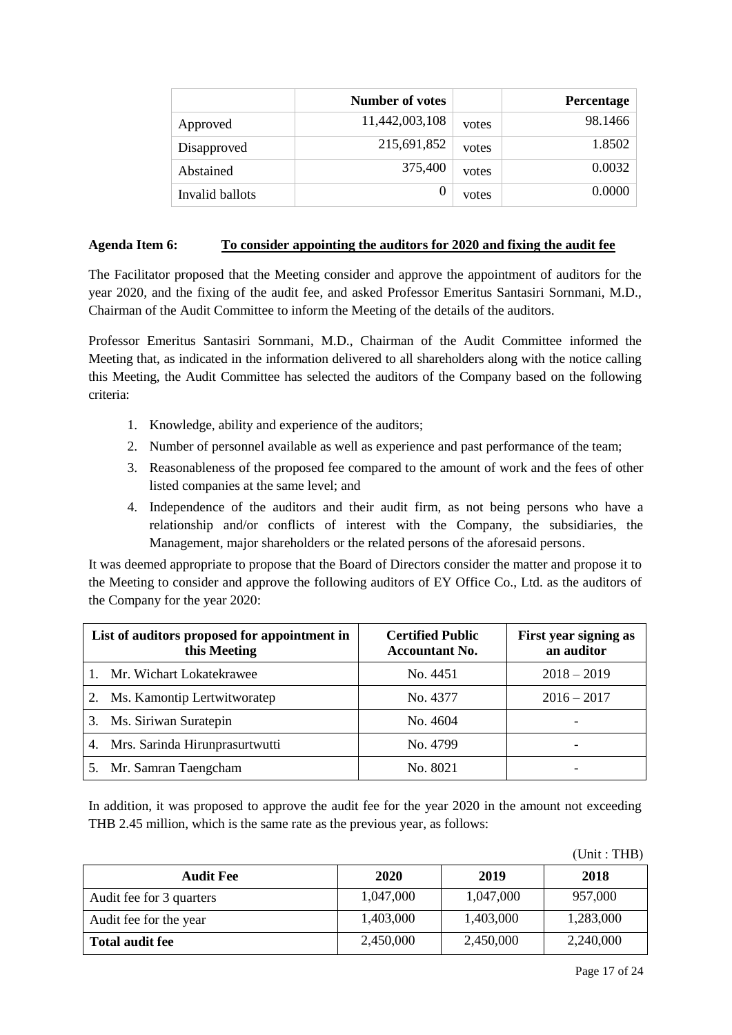|                 | Number of votes |       | Percentage |
|-----------------|-----------------|-------|------------|
| Approved        | 11,442,003,108  | votes | 98.1466    |
| Disapproved     | 215,691,852     | votes | 1.8502     |
| Abstained       | 375,400         | votes | 0.0032     |
| Invalid ballots |                 | votes | 0.0000     |

### **Agenda Item 6: To consider appointing the auditors for 2020 and fixing the audit fee**

The Facilitator proposed that the Meeting consider and approve the appointment of auditors for the year 2020, and the fixing of the audit fee, and asked Professor Emeritus Santasiri Sornmani, M.D., Chairman of the Audit Committee to inform the Meeting of the details of the auditors.

Professor Emeritus Santasiri Sornmani, M.D., Chairman of the Audit Committee informed the Meeting that, as indicated in the information delivered to all shareholders along with the notice calling this Meeting, the Audit Committee has selected the auditors of the Company based on the following criteria:

- 1. Knowledge, ability and experience of the auditors;
- 2. Number of personnel available as well as experience and past performance of the team;
- 3. Reasonableness of the proposed fee compared to the amount of work and the fees of other listed companies at the same level; and
- 4. Independence of the auditors and their audit firm, as not being persons who have a relationship and/or conflicts of interest with the Company, the subsidiaries, the Management, major shareholders or the related persons of the aforesaid persons.

It was deemed appropriate to propose that the Board of Directors consider the matter and propose it to the Meeting to consider and approve the following auditors of EY Office Co., Ltd. as the auditors of the Company for the year 2020:

| List of auditors proposed for appointment in<br>this Meeting | <b>Certified Public</b><br><b>Accountant No.</b> | First year signing as<br>an auditor |
|--------------------------------------------------------------|--------------------------------------------------|-------------------------------------|
| Mr. Wichart Lokatekrawee                                     | No. 4451                                         | $2018 - 2019$                       |
| Ms. Kamontip Lertwitworatep<br>2.                            | No. 4377                                         | $2016 - 2017$                       |
| 3. Ms. Siriwan Suratepin                                     | No. 4604                                         | -                                   |
| Mrs. Sarinda Hirunprasurtwutti<br>4.                         | No. 4799                                         |                                     |
| Mr. Samran Taengcham                                         | No. 8021                                         |                                     |

In addition, it was proposed to approve the audit fee for the year 2020 in the amount not exceeding THB 2.45 million, which is the same rate as the previous year, as follows:

(Unit : THB)

| <b>Audit Fee</b>         | 2020      | 2019      | 2018      |
|--------------------------|-----------|-----------|-----------|
| Audit fee for 3 quarters | 1,047,000 | 1,047,000 | 957,000   |
| Audit fee for the year   | 1,403,000 | 1,403,000 | 1,283,000 |
| <b>Total audit fee</b>   | 2,450,000 | 2,450,000 | 2,240,000 |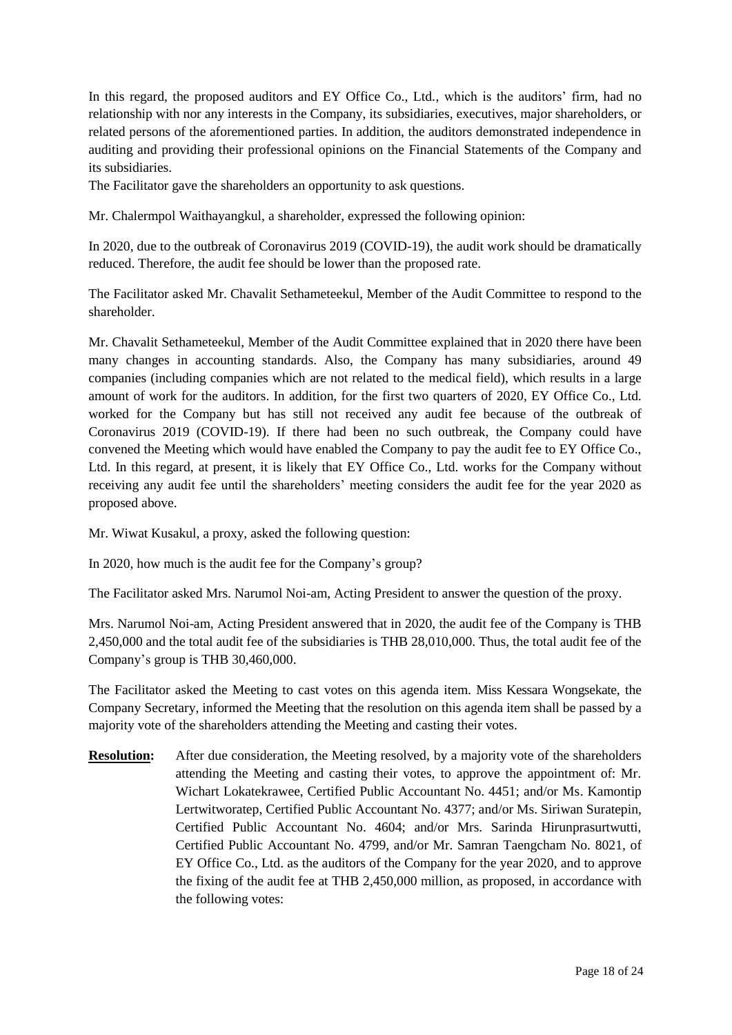In this regard, the proposed auditors and EY Office Co., Ltd., which is the auditors' firm, had no relationship with nor any interests in the Company, its subsidiaries, executives, major shareholders, or related persons of the aforementioned parties. In addition, the auditors demonstrated independence in auditing and providing their professional opinions on the Financial Statements of the Company and its subsidiaries.

The Facilitator gave the shareholders an opportunity to ask questions.

Mr. Chalermpol Waithayangkul, a shareholder, expressed the following opinion:

In 2020, due to the outbreak of Coronavirus 2019 (COVID-19), the audit work should be dramatically reduced. Therefore, the audit fee should be lower than the proposed rate.

The Facilitator asked Mr. Chavalit Sethameteekul, Member of the Audit Committee to respond to the shareholder.

Mr. Chavalit Sethameteekul, Member of the Audit Committee explained that in 2020 there have been many changes in accounting standards. Also, the Company has many subsidiaries, around 49 companies (including companies which are not related to the medical field), which results in a large amount of work for the auditors. In addition, for the first two quarters of 2020, EY Office Co., Ltd. worked for the Company but has still not received any audit fee because of the outbreak of Coronavirus 2019 (COVID-19). If there had been no such outbreak, the Company could have convened the Meeting which would have enabled the Company to pay the audit fee to EY Office Co., Ltd. In this regard, at present, it is likely that EY Office Co., Ltd. works for the Company without receiving any audit fee until the shareholders" meeting considers the audit fee for the year 2020 as proposed above.

Mr. Wiwat Kusakul, a proxy, asked the following question:

In 2020, how much is the audit fee for the Company"s group?

The Facilitator asked Mrs. Narumol Noi-am, Acting President to answer the question of the proxy.

Mrs. Narumol Noi-am, Acting President answered that in 2020, the audit fee of the Company is THB 2,450,000 and the total audit fee of the subsidiaries is THB 28,010,000. Thus, the total audit fee of the Company"s group is THB 30,460,000.

The Facilitator asked the Meeting to cast votes on this agenda item. Miss Kessara Wongsekate, the Company Secretary, informed the Meeting that the resolution on this agenda item shall be passed by a majority vote of the shareholders attending the Meeting and casting their votes.

**Resolution:** After due consideration, the Meeting resolved, by a majority vote of the shareholders attending the Meeting and casting their votes, to approve the appointment of: Mr. Wichart Lokatekrawee, Certified Public Accountant No. 4451; and/or Ms. Kamontip Lertwitworatep, Certified Public Accountant No. 4377; and/or Ms. Siriwan Suratepin, Certified Public Accountant No. 4604; and/or Mrs. Sarinda Hirunprasurtwutti, Certified Public Accountant No. 4799, and/or Mr. Samran Taengcham No. 8021, of EY Office Co., Ltd. as the auditors of the Company for the year 2020, and to approve the fixing of the audit fee at THB 2,450,000 million, as proposed, in accordance with the following votes: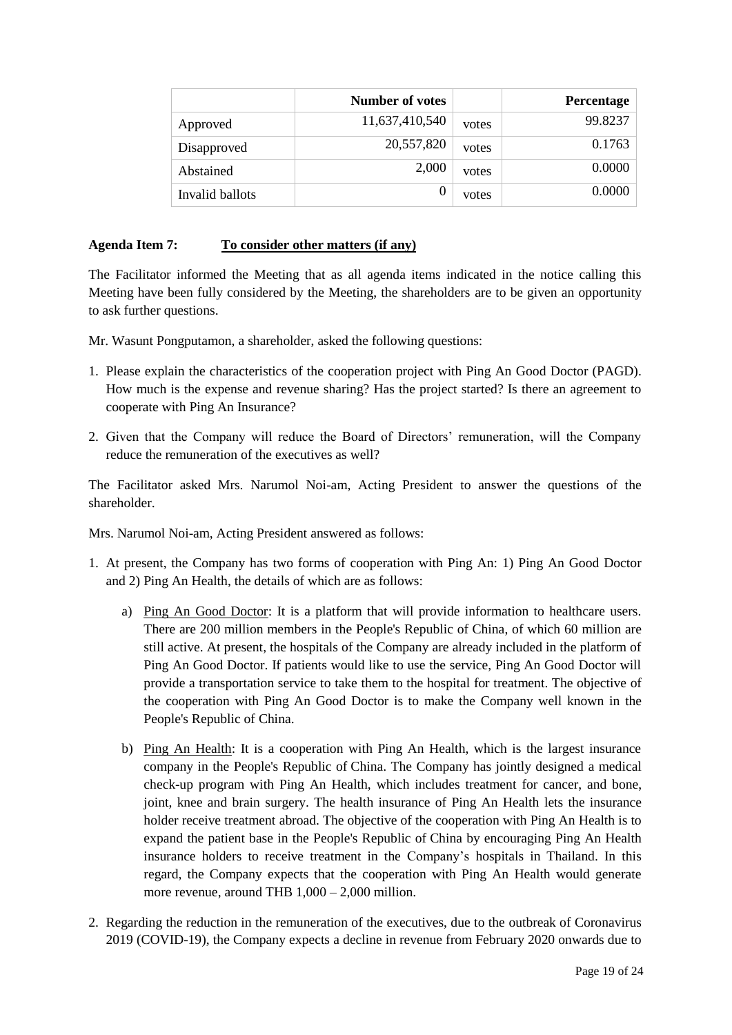|                 | Number of votes |       | Percentage |
|-----------------|-----------------|-------|------------|
| Approved        | 11,637,410,540  | votes | 99.8237    |
| Disapproved     | 20,557,820      | votes | 0.1763     |
| Abstained       | 2,000           | votes | 0.0000     |
| Invalid ballots | $\theta$        | votes | 0.0000     |

## **Agenda Item 7: To consider other matters (if any)**

The Facilitator informed the Meeting that as all agenda items indicated in the notice calling this Meeting have been fully considered by the Meeting, the shareholders are to be given an opportunity to ask further questions.

Mr. Wasunt Pongputamon, a shareholder, asked the following questions:

- 1. Please explain the characteristics of the cooperation project with Ping An Good Doctor (PAGD). How much is the expense and revenue sharing? Has the project started? Is there an agreement to cooperate with Ping An Insurance?
- 2. Given that the Company will reduce the Board of Directors" remuneration, will the Company reduce the remuneration of the executives as well?

The Facilitator asked Mrs. Narumol Noi-am, Acting President to answer the questions of the shareholder.

Mrs. Narumol Noi-am, Acting President answered as follows:

- 1. At present, the Company has two forms of cooperation with Ping An: 1) Ping An Good Doctor and 2) Ping An Health, the details of which are as follows:
	- a) Ping An Good Doctor: It is a platform that will provide information to healthcare users. There are 200 million members in the People's Republic of China, of which 60 million are still active. At present, the hospitals of the Company are already included in the platform of Ping An Good Doctor. If patients would like to use the service, Ping An Good Doctor will provide a transportation service to take them to the hospital for treatment. The objective of the cooperation with Ping An Good Doctor is to make the Company well known in the People's Republic of China.
	- b) Ping An Health: It is a cooperation with Ping An Health, which is the largest insurance company in the People's Republic of China. The Company has jointly designed a medical check-up program with Ping An Health, which includes treatment for cancer, and bone, joint, knee and brain surgery. The health insurance of Ping An Health lets the insurance holder receive treatment abroad. The objective of the cooperation with Ping An Health is to expand the patient base in the People's Republic of China by encouraging Ping An Health insurance holders to receive treatment in the Company"s hospitals in Thailand. In this regard, the Company expects that the cooperation with Ping An Health would generate more revenue, around THB  $1,000 - 2,000$  million.
- 2. Regarding the reduction in the remuneration of the executives, due to the outbreak of Coronavirus 2019 (COVID-19), the Company expects a decline in revenue from February 2020 onwards due to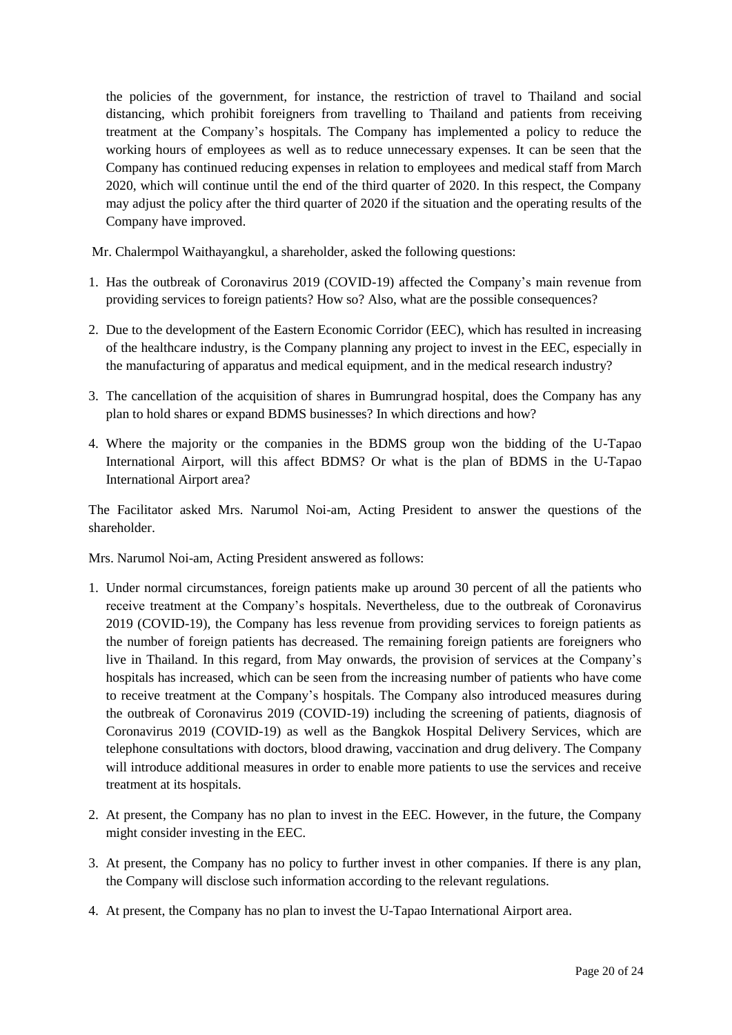the policies of the government, for instance, the restriction of travel to Thailand and social distancing, which prohibit foreigners from travelling to Thailand and patients from receiving treatment at the Company"s hospitals. The Company has implemented a policy to reduce the working hours of employees as well as to reduce unnecessary expenses. It can be seen that the Company has continued reducing expenses in relation to employees and medical staff from March 2020, which will continue until the end of the third quarter of 2020. In this respect, the Company may adjust the policy after the third quarter of 2020 if the situation and the operating results of the Company have improved.

Mr. Chalermpol Waithayangkul, a shareholder, asked the following questions:

- 1. Has the outbreak of Coronavirus 2019 (COVID-19) affected the Company"s main revenue from providing services to foreign patients? How so? Also, what are the possible consequences?
- 2. Due to the development of the Eastern Economic Corridor (EEC), which has resulted in increasing of the healthcare industry, is the Company planning any project to invest in the EEC, especially in the manufacturing of apparatus and medical equipment, and in the medical research industry?
- 3. The cancellation of the acquisition of shares in Bumrungrad hospital, does the Company has any plan to hold shares or expand BDMS businesses? In which directions and how?
- 4. Where the majority or the companies in the BDMS group won the bidding of the U-Tapao International Airport, will this affect BDMS? Or what is the plan of BDMS in the U-Tapao International Airport area?

The Facilitator asked Mrs. Narumol Noi-am, Acting President to answer the questions of the shareholder.

Mrs. Narumol Noi-am, Acting President answered as follows:

- 1. Under normal circumstances, foreign patients make up around 30 percent of all the patients who receive treatment at the Company"s hospitals. Nevertheless, due to the outbreak of Coronavirus 2019 (COVID-19), the Company has less revenue from providing services to foreign patients as the number of foreign patients has decreased. The remaining foreign patients are foreigners who live in Thailand. In this regard, from May onwards, the provision of services at the Company"s hospitals has increased, which can be seen from the increasing number of patients who have come to receive treatment at the Company"s hospitals. The Company also introduced measures during the outbreak of Coronavirus 2019 (COVID-19) including the screening of patients, diagnosis of Coronavirus 2019 (COVID-19) as well as the Bangkok Hospital Delivery Services, which are telephone consultations with doctors, blood drawing, vaccination and drug delivery. The Company will introduce additional measures in order to enable more patients to use the services and receive treatment at its hospitals.
- 2. At present, the Company has no plan to invest in the EEC. However, in the future, the Company might consider investing in the EEC.
- 3. At present, the Company has no policy to further invest in other companies. If there is any plan, the Company will disclose such information according to the relevant regulations.
- 4. At present, the Company has no plan to invest the U-Tapao International Airport area.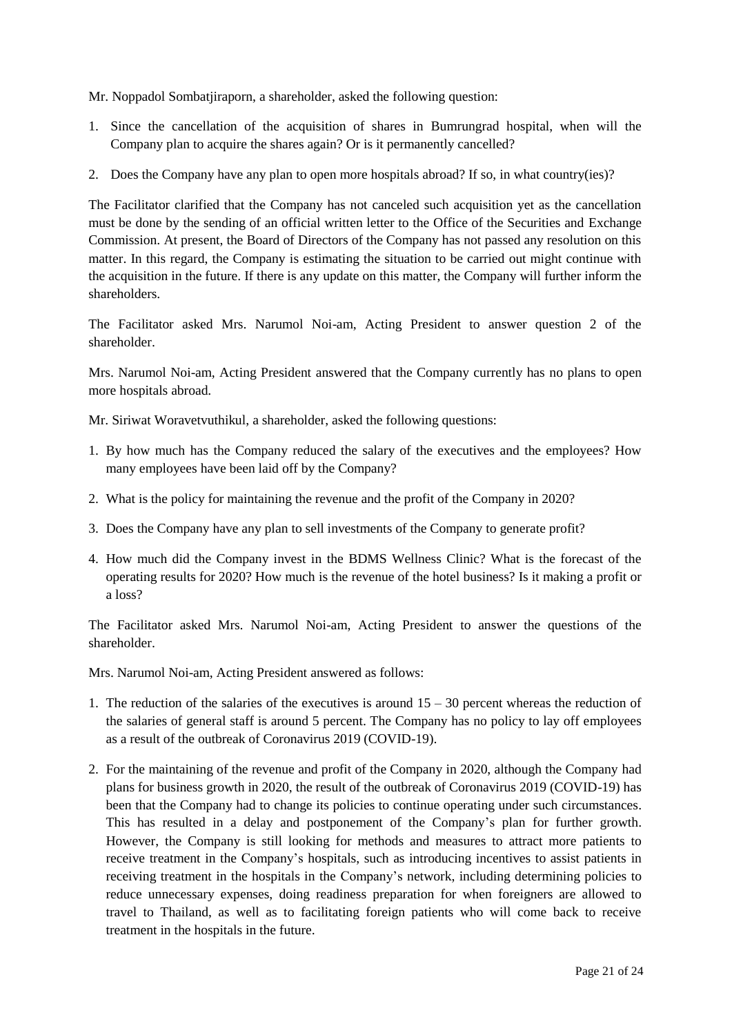Mr. Noppadol Sombatjiraporn, a shareholder, asked the following question:

- 1. Since the cancellation of the acquisition of shares in Bumrungrad hospital, when will the Company plan to acquire the shares again? Or is it permanently cancelled?
- 2. Does the Company have any plan to open more hospitals abroad? If so, in what country(ies)?

The Facilitator clarified that the Company has not canceled such acquisition yet as the cancellation must be done by the sending of an official written letter to the Office of the Securities and Exchange Commission. At present, the Board of Directors of the Company has not passed any resolution on this matter. In this regard, the Company is estimating the situation to be carried out might continue with the acquisition in the future. If there is any update on this matter, the Company will further inform the shareholders.

The Facilitator asked Mrs. Narumol Noi-am, Acting President to answer question 2 of the shareholder.

Mrs. Narumol Noi-am, Acting President answered that the Company currently has no plans to open more hospitals abroad.

Mr. Siriwat Woravetvuthikul, a shareholder, asked the following questions:

- 1. By how much has the Company reduced the salary of the executives and the employees? How many employees have been laid off by the Company?
- 2. What is the policy for maintaining the revenue and the profit of the Company in 2020?
- 3. Does the Company have any plan to sell investments of the Company to generate profit?
- 4. How much did the Company invest in the BDMS Wellness Clinic? What is the forecast of the operating results for 2020? How much is the revenue of the hotel business? Is it making a profit or a loss?

The Facilitator asked Mrs. Narumol Noi-am, Acting President to answer the questions of the shareholder.

Mrs. Narumol Noi-am, Acting President answered as follows:

- 1. The reduction of the salaries of the executives is around  $15 30$  percent whereas the reduction of the salaries of general staff is around 5 percent. The Company has no policy to lay off employees as a result of the outbreak of Coronavirus 2019 (COVID-19).
- 2. For the maintaining of the revenue and profit of the Company in 2020, although the Company had plans for business growth in 2020, the result of the outbreak of Coronavirus 2019 (COVID-19) has been that the Company had to change its policies to continue operating under such circumstances. This has resulted in a delay and postponement of the Company"s plan for further growth. However, the Company is still looking for methods and measures to attract more patients to receive treatment in the Company"s hospitals, such as introducing incentives to assist patients in receiving treatment in the hospitals in the Company"s network, including determining policies to reduce unnecessary expenses, doing readiness preparation for when foreigners are allowed to travel to Thailand, as well as to facilitating foreign patients who will come back to receive treatment in the hospitals in the future.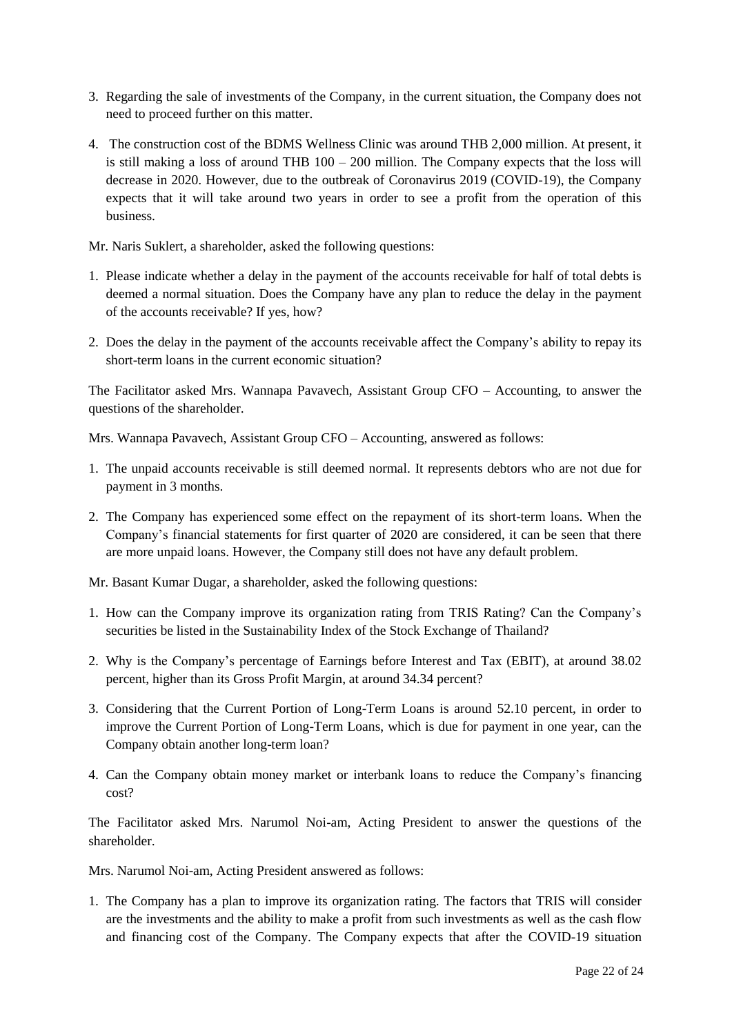- 3. Regarding the sale of investments of the Company, in the current situation, the Company does not need to proceed further on this matter.
- 4. The construction cost of the BDMS Wellness Clinic was around THB 2,000 million. At present, it is still making a loss of around THB  $100 - 200$  million. The Company expects that the loss will decrease in 2020. However, due to the outbreak of Coronavirus 2019 (COVID-19), the Company expects that it will take around two years in order to see a profit from the operation of this business.

Mr. Naris Suklert, a shareholder, asked the following questions:

- 1. Please indicate whether a delay in the payment of the accounts receivable for half of total debts is deemed a normal situation. Does the Company have any plan to reduce the delay in the payment of the accounts receivable? If yes, how?
- 2. Does the delay in the payment of the accounts receivable affect the Company"s ability to repay its short-term loans in the current economic situation?

The Facilitator asked Mrs. Wannapa Pavavech, Assistant Group CFO – Accounting, to answer the questions of the shareholder.

Mrs. Wannapa Pavavech, Assistant Group CFO – Accounting, answered as follows:

- 1. The unpaid accounts receivable is still deemed normal. It represents debtors who are not due for payment in 3 months.
- 2. The Company has experienced some effect on the repayment of its short-term loans. When the Company"s financial statements for first quarter of 2020 are considered, it can be seen that there are more unpaid loans. However, the Company still does not have any default problem.

Mr. Basant Kumar Dugar, a shareholder, asked the following questions:

- 1. How can the Company improve its organization rating from TRIS Rating? Can the Company"s securities be listed in the Sustainability Index of the Stock Exchange of Thailand?
- 2. Why is the Company"s percentage of Earnings before Interest and Tax (EBIT), at around 38.02 percent, higher than its Gross Profit Margin, at around 34.34 percent?
- 3. Considering that the Current Portion of Long-Term Loans is around 52.10 percent, in order to improve the Current Portion of Long-Term Loans, which is due for payment in one year, can the Company obtain another long-term loan?
- 4. Can the Company obtain money market or interbank loans to reduce the Company"s financing cost?

The Facilitator asked Mrs. Narumol Noi-am, Acting President to answer the questions of the shareholder.

Mrs. Narumol Noi-am, Acting President answered as follows:

1. The Company has a plan to improve its organization rating. The factors that TRIS will consider are the investments and the ability to make a profit from such investments as well as the cash flow and financing cost of the Company. The Company expects that after the COVID-19 situation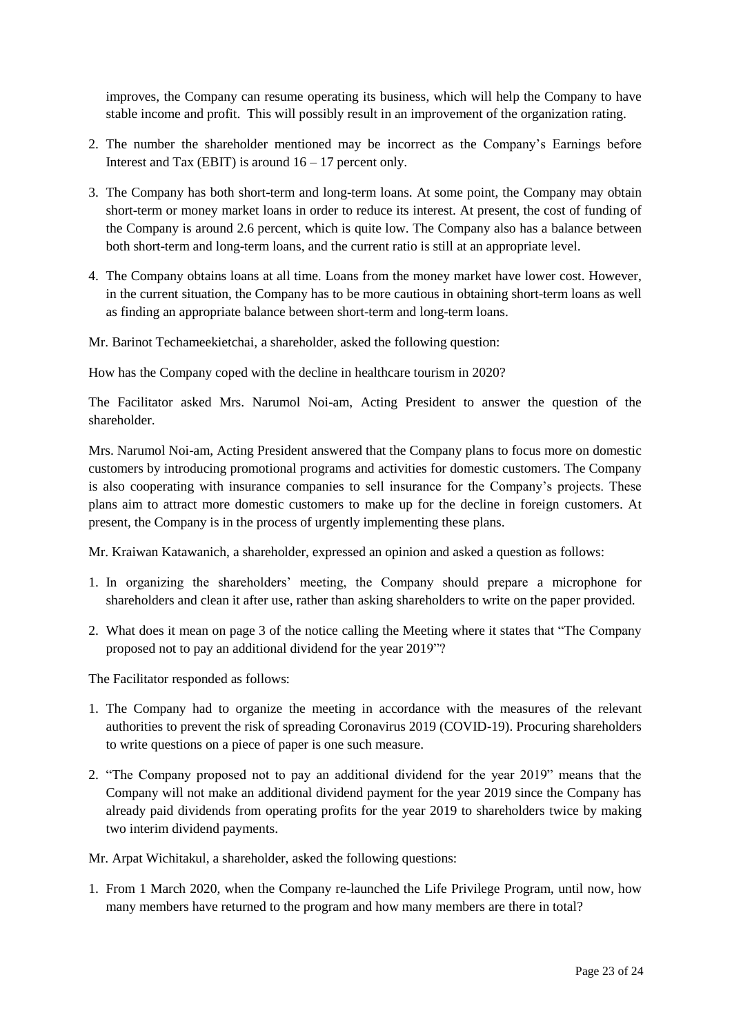improves, the Company can resume operating its business, which will help the Company to have stable income and profit. This will possibly result in an improvement of the organization rating.

- 2. The number the shareholder mentioned may be incorrect as the Company"s Earnings before Interest and Tax (EBIT) is around  $16 - 17$  percent only.
- 3. The Company has both short-term and long-term loans. At some point, the Company may obtain short-term or money market loans in order to reduce its interest. At present, the cost of funding of the Company is around 2.6 percent, which is quite low. The Company also has a balance between both short-term and long-term loans, and the current ratio is still at an appropriate level.
- 4. The Company obtains loans at all time. Loans from the money market have lower cost. However, in the current situation, the Company has to be more cautious in obtaining short-term loans as well as finding an appropriate balance between short-term and long-term loans.
- Mr. Barinot Techameekietchai, a shareholder, asked the following question:

How has the Company coped with the decline in healthcare tourism in 2020?

The Facilitator asked Mrs. Narumol Noi-am, Acting President to answer the question of the shareholder.

Mrs. Narumol Noi-am, Acting President answered that the Company plans to focus more on domestic customers by introducing promotional programs and activities for domestic customers. The Company is also cooperating with insurance companies to sell insurance for the Company"s projects. These plans aim to attract more domestic customers to make up for the decline in foreign customers. At present, the Company is in the process of urgently implementing these plans.

Mr. Kraiwan Katawanich, a shareholder, expressed an opinion and asked a question as follows:

- 1. In organizing the shareholders" meeting, the Company should prepare a microphone for shareholders and clean it after use, rather than asking shareholders to write on the paper provided.
- 2. What does it mean on page 3 of the notice calling the Meeting where it states that "The Company proposed not to pay an additional dividend for the year 2019"?

The Facilitator responded as follows:

- 1. The Company had to organize the meeting in accordance with the measures of the relevant authorities to prevent the risk of spreading Coronavirus 2019 (COVID-19). Procuring shareholders to write questions on a piece of paper is one such measure.
- 2. "The Company proposed not to pay an additional dividend for the year 2019" means that the Company will not make an additional dividend payment for the year 2019 since the Company has already paid dividends from operating profits for the year 2019 to shareholders twice by making two interim dividend payments.

Mr. Arpat Wichitakul, a shareholder, asked the following questions:

1. From 1 March 2020, when the Company re-launched the Life Privilege Program, until now, how many members have returned to the program and how many members are there in total?